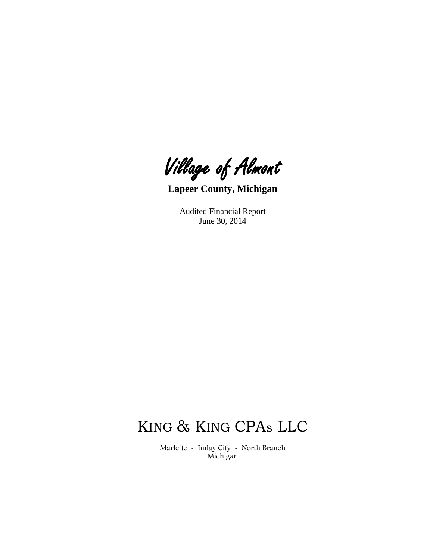Village of Almont

**Lapeer County, Michigan** 

Audited Financial Report June 30, 2014

# KING & KING CPAs LLC

Marlette - Imlay City - North Branch Michigan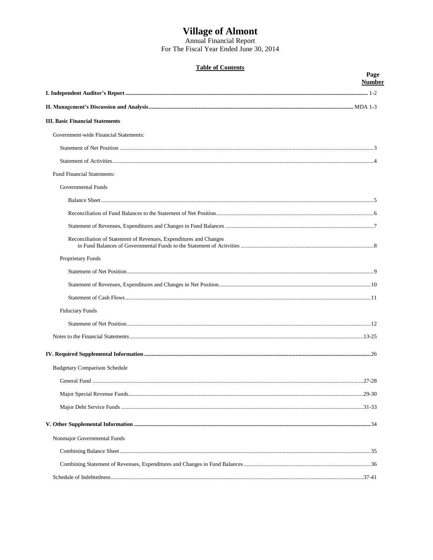**Village of Almont**<br>Annual Financial Report<br>For The Fiscal Year Ended June 30, 2014

### **Table of Contents**

|                                                                   | Page<br><b>Number</b> |
|-------------------------------------------------------------------|-----------------------|
|                                                                   |                       |
|                                                                   |                       |
| <b>III. Basic Financial Statements</b>                            |                       |
| Government-wide Financial Statements:                             |                       |
|                                                                   |                       |
|                                                                   |                       |
| <b>Fund Financial Statements:</b>                                 |                       |
| Governmental Funds                                                |                       |
|                                                                   |                       |
|                                                                   |                       |
|                                                                   |                       |
| Reconciliation of Statement of Revenues, Expenditures and Changes |                       |
| Proprietary Funds                                                 |                       |
|                                                                   |                       |
|                                                                   |                       |
|                                                                   |                       |
| <b>Fiduciary Funds</b>                                            |                       |
|                                                                   |                       |
|                                                                   |                       |
|                                                                   |                       |
| <b>Budgetary Comparison Schedule</b>                              |                       |
|                                                                   |                       |
|                                                                   |                       |
|                                                                   |                       |
|                                                                   |                       |
| Nonmajor Governmental Funds                                       |                       |
|                                                                   |                       |
|                                                                   |                       |
|                                                                   |                       |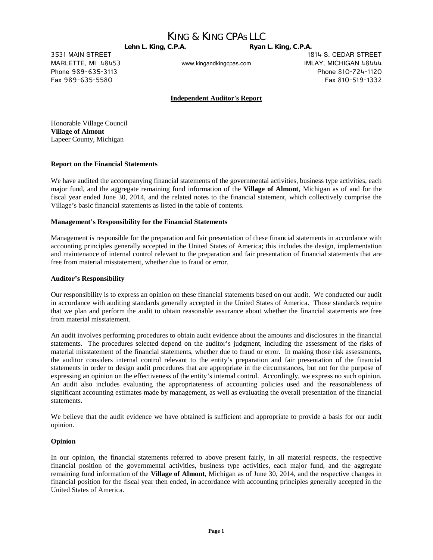### KING & KING CPAS LLC

Lehn L. King, C.P.A. Ryan L. King, C.P.A.

Phone 989-635-3113

3531 MAIN STREET **1814 S. CEDAR STREET** MARLETTE, MI 48453 www.kingandkingcpas.com IMLAY, MICHIGAN 48444<br>Phone 989-635-3113 Phone 810-724-1120 Fax 989-635-5580 Fax 810-519-1332

#### **Independent Auditor's Report**

Honorable Village Council **Village of Almont** Lapeer County, Michigan

#### **Report on the Financial Statements**

We have audited the accompanying financial statements of the governmental activities, business type activities, each major fund, and the aggregate remaining fund information of the **Village of Almont**, Michigan as of and for the fiscal year ended June 30, 2014, and the related notes to the financial statement, which collectively comprise the Village's basic financial statements as listed in the table of contents.

#### **Management's Responsibility for the Financial Statements**

Management is responsible for the preparation and fair presentation of these financial statements in accordance with accounting principles generally accepted in the United States of America; this includes the design, implementation and maintenance of internal control relevant to the preparation and fair presentation of financial statements that are free from material misstatement, whether due to fraud or error.

#### **Auditor's Responsibility**

Our responsibility is to express an opinion on these financial statements based on our audit. We conducted our audit in accordance with auditing standards generally accepted in the United States of America. Those standards require that we plan and perform the audit to obtain reasonable assurance about whether the financial statements are free from material misstatement.

An audit involves performing procedures to obtain audit evidence about the amounts and disclosures in the financial statements. The procedures selected depend on the auditor's judgment, including the assessment of the risks of material misstatement of the financial statements, whether due to fraud or error. In making those risk assessments, the auditor considers internal control relevant to the entity's preparation and fair presentation of the financial statements in order to design audit procedures that are appropriate in the circumstances, but not for the purpose of expressing an opinion on the effectiveness of the entity's internal control. Accordingly, we express no such opinion. An audit also includes evaluating the appropriateness of accounting policies used and the reasonableness of significant accounting estimates made by management, as well as evaluating the overall presentation of the financial statements.

We believe that the audit evidence we have obtained is sufficient and appropriate to provide a basis for our audit opinion.

#### **Opinion**

In our opinion, the financial statements referred to above present fairly, in all material respects, the respective financial position of the governmental activities, business type activities, each major fund, and the aggregate remaining fund information of the **Village of Almont**, Michigan as of June 30, 2014, and the respective changes in financial position for the fiscal year then ended, in accordance with accounting principles generally accepted in the United States of America.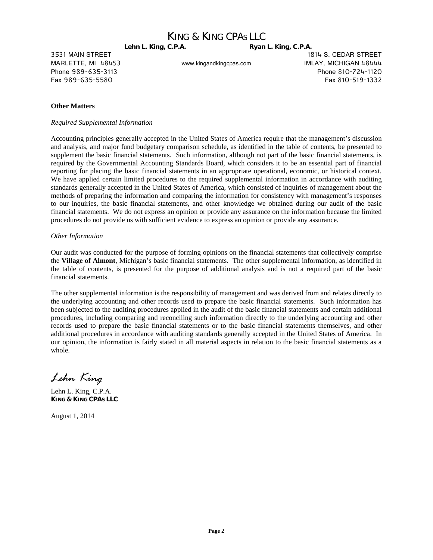### KING & KING CPAS LLC Lehn L. King, C.P.A. Ryan L. King, C.P.A.

3531 MAIN STREET 1814 S. CEDAR STREET MARLETTE, MI 48453 www.kingandkingcpas.com IMLAY, MICHIGAN 48444 Phone 989-635-3113 Phone 810-724-1120 Fax 989-635-5580 Fax 810-519-1332

#### **Other Matters**

*Required Supplemental Information*

Accounting principles generally accepted in the United States of America require that the management's discussion and analysis, and major fund budgetary comparison schedule, as identified in the table of contents, be presented to supplement the basic financial statements. Such information, although not part of the basic financial statements, is required by the Governmental Accounting Standards Board, which considers it to be an essential part of financial reporting for placing the basic financial statements in an appropriate operational, economic, or historical context. We have applied certain limited procedures to the required supplemental information in accordance with auditing standards generally accepted in the United States of America, which consisted of inquiries of management about the methods of preparing the information and comparing the information for consistency with management's responses to our inquiries, the basic financial statements, and other knowledge we obtained during our audit of the basic financial statements. We do not express an opinion or provide any assurance on the information because the limited procedures do not provide us with sufficient evidence to express an opinion or provide any assurance.

#### *Other Information*

Our audit was conducted for the purpose of forming opinions on the financial statements that collectively comprise the **Village of Almont**, Michigan's basic financial statements. The other supplemental information, as identified in the table of contents, is presented for the purpose of additional analysis and is not a required part of the basic financial statements.

The other supplemental information is the responsibility of management and was derived from and relates directly to the underlying accounting and other records used to prepare the basic financial statements. Such information has been subjected to the auditing procedures applied in the audit of the basic financial statements and certain additional procedures, including comparing and reconciling such information directly to the underlying accounting and other records used to prepare the basic financial statements or to the basic financial statements themselves, and other additional procedures in accordance with auditing standards generally accepted in the United States of America. In our opinion, the information is fairly stated in all material aspects in relation to the basic financial statements as a whole.

*Lehn King*

Lehn L. King, C.P.A. **KING & KING CPAS LLC**

August 1, 2014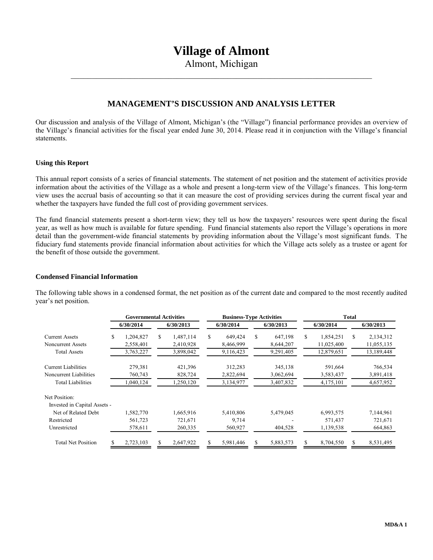Almont, Michigan \_\_\_\_\_\_\_\_\_\_\_\_\_\_\_\_\_\_\_\_\_\_\_\_\_\_\_\_\_\_\_\_\_\_\_\_\_\_\_\_\_\_\_\_\_\_\_\_\_\_\_\_\_\_\_\_\_\_\_\_\_\_\_\_\_\_\_\_\_\_\_

### **MANAGEMENT'S DISCUSSION AND ANALYSIS LETTER**

Our discussion and analysis of the Village of Almont, Michigan's (the "Village") financial performance provides an overview of the Village's financial activities for the fiscal year ended June 30, 2014. Please read it in conjunction with the Village's financial statements.

#### **Using this Report**

This annual report consists of a series of financial statements. The statement of net position and the statement of activities provide information about the activities of the Village as a whole and present a long-term view of the Village's finances. This long-term view uses the accrual basis of accounting so that it can measure the cost of providing services during the current fiscal year and whether the taxpayers have funded the full cost of providing government services.

The fund financial statements present a short-term view; they tell us how the taxpayers' resources were spent during the fiscal year, as well as how much is available for future spending. Fund financial statements also report the Village's operations in more detail than the government-wide financial statements by providing information about the Village's most significant funds. The fiduciary fund statements provide financial information about activities for which the Village acts solely as a trustee or agent for the benefit of those outside the government.

#### **Condensed Financial Information**

The following table shows in a condensed format, the net position as of the current date and compared to the most recently audited year's net position.

|                                              |  | <b>Governmental Activities</b> |               |               | <b>Business-Type Activities</b> |           | <b>Total</b> |            |  |            |  |  |
|----------------------------------------------|--|--------------------------------|---------------|---------------|---------------------------------|-----------|--------------|------------|--|------------|--|--|
|                                              |  | 6/30/2014                      | 6/30/2013     |               | 6/30/2014                       | 6/30/2013 |              | 6/30/2014  |  | 6/30/2013  |  |  |
| S<br>1,204,827<br><b>Current Assets</b><br>S |  | 1,487,114                      | \$<br>649,424 | \$<br>647,198 | \$                              | 1,854,251 | \$           | 2,134,312  |  |            |  |  |
| <b>Noncurrent Assets</b>                     |  | 2,558,401                      |               | 2,410,928     | 8,466,999                       | 8,644,207 |              | 11,025,400 |  | 11,055,135 |  |  |
| <b>Total Assets</b>                          |  | 3,763,227                      |               | 3,898,042     | 9,116,423                       | 9,291,405 |              | 12,879,651 |  | 13,189,448 |  |  |
| Current Liabilities                          |  | 279,381                        |               | 421,396       | 312,283                         | 345,138   |              | 591,664    |  | 766,534    |  |  |
| Noncurrent Liabilities                       |  | 760,743                        |               | 828,724       | 2,822,694                       | 3,062,694 |              | 3,583,437  |  | 3,891,418  |  |  |
| <b>Total Liabilities</b>                     |  | 1,040,124                      |               | 1,250,120     | 3,134,977                       | 3,407,832 |              | 4,175,101  |  | 4,657,952  |  |  |
| Net Position:                                |  |                                |               |               |                                 |           |              |            |  |            |  |  |
| Invested in Capital Assets -                 |  |                                |               |               |                                 |           |              |            |  |            |  |  |
| Net of Related Debt                          |  | 1,582,770                      |               | 1,665,916     | 5,410,806                       | 5,479,045 |              | 6,993,575  |  | 7,144,961  |  |  |
| Restricted                                   |  | 561,723                        |               | 721,671       | 9,714                           |           |              | 571,437    |  | 721,671    |  |  |
| Unrestricted                                 |  | 578,611                        |               | 260,335       | 560,927                         | 404,528   |              | 1,139,538  |  | 664,863    |  |  |
| <b>Total Net Position</b>                    |  | 2,723,103                      |               | 2,647,922     | 5,981,446                       | 5,883,573 |              | 8,704,550  |  | 8,531,495  |  |  |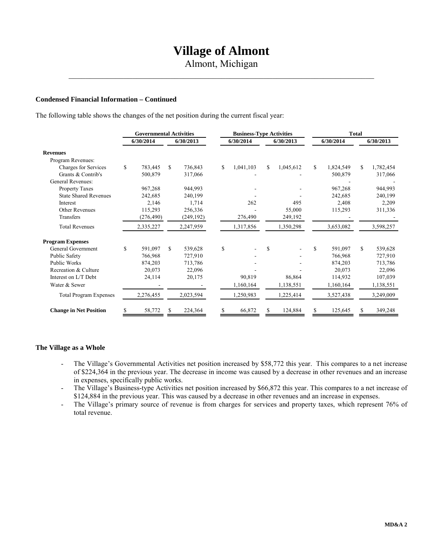Almont, Michigan  $\_$  ,  $\_$  ,  $\_$  ,  $\_$  ,  $\_$  ,  $\_$  ,  $\_$  ,  $\_$  ,  $\_$  ,  $\_$  ,  $\_$  ,  $\_$  ,  $\_$  ,  $\_$  ,  $\_$  ,  $\_$  ,  $\_$  ,  $\_$  ,  $\_$  ,  $\_$  ,  $\_$  ,  $\_$  ,  $\_$  ,  $\_$  ,  $\_$  ,  $\_$  ,  $\_$  ,  $\_$  ,  $\_$  ,  $\_$  ,  $\_$  ,  $\_$  ,  $\_$  ,  $\_$  ,  $\_$  ,  $\_$  ,  $\_$  ,

#### **Condensed Financial Information – Continued**

The following table shows the changes of the net position during the current fiscal year:

|                               | <b>Governmental Activities</b> |            |    |            | <b>Business-Type Activities</b> |           |     | <b>Total</b> |    |           |    |           |
|-------------------------------|--------------------------------|------------|----|------------|---------------------------------|-----------|-----|--------------|----|-----------|----|-----------|
|                               |                                | 6/30/2014  |    | 6/30/2013  |                                 | 6/30/2014 |     | 6/30/2013    |    | 6/30/2014 |    | 6/30/2013 |
| <b>Revenues</b>               |                                |            |    |            |                                 |           |     |              |    |           |    |           |
| Program Revenues:             |                                |            |    |            |                                 |           |     |              |    |           |    |           |
| Charges for Services          | \$                             | 783,445    | S. | 736,843    | S                               | 1,041,103 | \$. | 1,045,612    | S. | 1,824,549 | S. | 1,782,454 |
| Grants & Contrib's            |                                | 500,879    |    | 317,066    |                                 |           |     |              |    | 500,879   |    | 317,066   |
| General Revenues:             |                                |            |    |            |                                 |           |     |              |    |           |    |           |
| <b>Property Taxes</b>         |                                | 967,268    |    | 944,993    |                                 |           |     |              |    | 967,268   |    | 944,993   |
| <b>State Shared Revenues</b>  |                                | 242,685    |    | 240,199    |                                 |           |     |              |    | 242,685   |    | 240,199   |
| Interest                      |                                | 2,146      |    | 1,714      |                                 | 262       |     | 495          |    | 2,408     |    | 2,209     |
| Other Revenues                |                                | 115,293    |    | 256,336    |                                 |           |     | 55,000       |    | 115,293   |    | 311,336   |
| Transfers                     |                                | (276, 490) |    | (249, 192) |                                 | 276,490   |     | 249,192      |    |           |    |           |
| <b>Total Revenues</b>         |                                | 2,335,227  |    | 2,247,959  |                                 | 1,317,856 |     | 1,350,298    |    | 3,653,082 |    | 3,598,257 |
| <b>Program Expenses</b>       |                                |            |    |            |                                 |           |     |              |    |           |    |           |
| General Government            | S                              | 591,097    | S. | 539,628    | S                               |           | S   |              | \$ | 591,097   | S  | 539,628   |
| Public Safety                 |                                | 766,968    |    | 727,910    |                                 |           |     |              |    | 766,968   |    | 727,910   |
| <b>Public Works</b>           |                                | 874,203    |    | 713,786    |                                 |           |     |              |    | 874,203   |    | 713,786   |
| Recreation & Culture          |                                | 20,073     |    | 22,096     |                                 |           |     |              |    | 20,073    |    | 22,096    |
| Interest on L/T Debt          |                                | 24,114     |    | 20,175     |                                 | 90,819    |     | 86,864       |    | 114,932   |    | 107,039   |
| Water & Sewer                 |                                |            |    |            |                                 | 1,160,164 |     | 1,138,551    |    | 1,160,164 |    | 1,138,551 |
| <b>Total Program Expenses</b> |                                | 2,276,455  |    | 2,023,594  |                                 | 1,250,983 |     | 1,225,414    |    | 3,527,438 |    | 3,249,009 |
| <b>Change in Net Position</b> |                                | 58,772     |    | 224,364    |                                 | 66,872    |     | 124,884      |    | 125,645   |    | 349,248   |

#### **The Village as a Whole**

- The Village's Governmental Activities net position increased by \$58,772 this year. This compares to a net increase of \$224,364 in the previous year. The decrease in income was caused by a decrease in other revenues and an increase in expenses, specifically public works.
- The Village's Business-type Activities net position increased by \$66,872 this year. This compares to a net increase of \$124,884 in the previous year. This was caused by a decrease in other revenues and an increase in expenses.
- The Village's primary source of revenue is from charges for services and property taxes, which represent 76% of total revenue.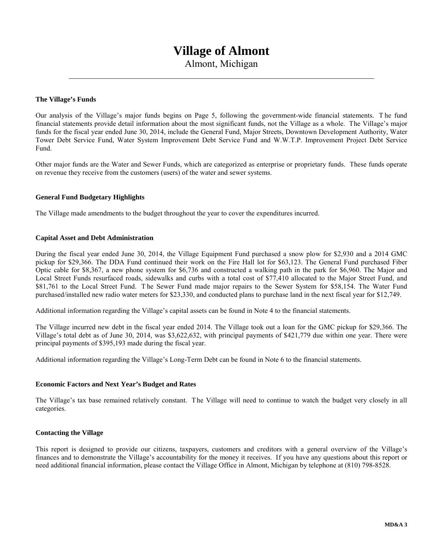Almont, Michigan \_\_\_\_\_\_\_\_\_\_\_\_\_\_\_\_\_\_\_\_\_\_\_\_\_\_\_\_\_\_\_\_\_\_\_\_\_\_\_\_\_\_\_\_\_\_\_\_\_\_\_\_\_\_\_\_\_\_\_\_\_\_\_\_\_\_\_\_\_\_\_\_

#### **The Village's Funds**

Our analysis of the Village's major funds begins on Page 5, following the government-wide financial statements. T he fund financial statements provide detail information about the most significant funds, not the Village as a whole. The Village's major funds for the fiscal year ended June 30, 2014, include the General Fund, Major Streets, Downtown Development Authority, Water Tower Debt Service Fund, Water System Improvement Debt Service Fund and W.W.T.P. Improvement Project Debt Service Fund.

Other major funds are the Water and Sewer Funds, which are categorized as enterprise or proprietary funds. These funds operate on revenue they receive from the customers (users) of the water and sewer systems.

#### **General Fund Budgetary Highlights**

The Village made amendments to the budget throughout the year to cover the expenditures incurred.

#### **Capital Asset and Debt Administration**

During the fiscal year ended June 30, 2014, the Village Equipment Fund purchased a snow plow for \$2,930 and a 2014 GMC pickup for \$29,366. The DDA Fund continued their work on the Fire Hall lot for \$63,123. The General Fund purchased Fiber Optic cable for \$8,367, a new phone system for \$6,736 and constructed a walking path in the park for \$6,960. The Major and Local Street Funds resurfaced roads, sidewalks and curbs with a total cost of \$77,410 allocated to the Major Street Fund, and \$81,761 to the Local Street Fund. T he Sewer Fund made major repairs to the Sewer System for \$58,154. The Water Fund purchased/installed new radio water meters for \$23,330, and conducted plans to purchase land in the next fiscal year for \$12,749.

Additional information regarding the Village's capital assets can be found in Note 4 to the financial statements.

The Village incurred new debt in the fiscal year ended 2014. The Village took out a loan for the GMC pickup for \$29,366. The Village's total debt as of June 30, 2014, was \$3,622,632, with principal payments of \$421,779 due within one year. There were principal payments of \$395,193 made during the fiscal year.

Additional information regarding the Village's Long-Term Debt can be found in Note 6 to the financial statements.

#### **Economic Factors and Next Year's Budget and Rates**

The Village's tax base remained relatively constant. The Village will need to continue to watch the budget very closely in all categories.

#### **Contacting the Village**

This report is designed to provide our citizens, taxpayers, customers and creditors with a general overview of the Village's finances and to demonstrate the Village's accountability for the money it receives. If you have any questions about this report or need additional financial information, please contact the Village Office in Almont, Michigan by telephone at (810) 798-8528.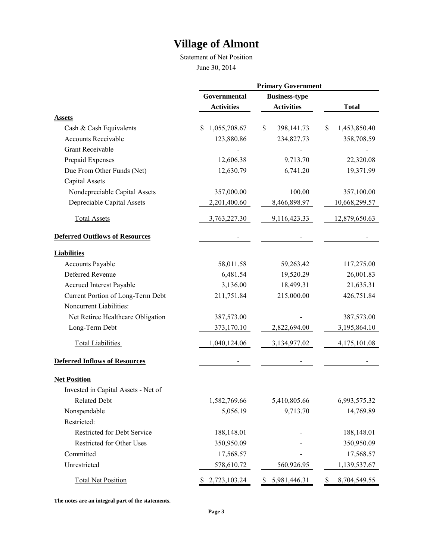Statement of Net Position June 30, 2014

|                                       |                    | <b>Primary Government</b> |                    |
|---------------------------------------|--------------------|---------------------------|--------------------|
|                                       | Governmental       | <b>Business-type</b>      |                    |
|                                       | <b>Activities</b>  | <b>Activities</b>         | <b>Total</b>       |
| <b>Assets</b>                         |                    |                           |                    |
| Cash & Cash Equivalents               | 1,055,708.67<br>\$ | \$<br>398,141.73          | 1,453,850.40<br>S  |
| <b>Accounts Receivable</b>            | 123,880.86         | 234,827.73                | 358,708.59         |
| <b>Grant Receivable</b>               |                    |                           |                    |
| Prepaid Expenses                      | 12,606.38          | 9,713.70                  | 22,320.08          |
| Due From Other Funds (Net)            | 12,630.79          | 6,741.20                  | 19,371.99          |
| <b>Capital Assets</b>                 |                    |                           |                    |
| Nondepreciable Capital Assets         | 357,000.00         | 100.00                    | 357,100.00         |
| Depreciable Capital Assets            | 2,201,400.60       | 8,466,898.97              | 10,668,299.57      |
| <b>Total Assets</b>                   | 3,763,227.30       | 9,116,423.33              | 12,879,650.63      |
| <b>Deferred Outflows of Resources</b> |                    |                           |                    |
| <b>Liabilities</b>                    |                    |                           |                    |
| Accounts Payable                      | 58,011.58          | 59,263.42                 | 117,275.00         |
| Deferred Revenue                      | 6,481.54           | 19,520.29                 | 26,001.83          |
| Accrued Interest Payable              | 3,136.00           | 18,499.31                 | 21,635.31          |
| Current Portion of Long-Term Debt     | 211,751.84         | 215,000.00                | 426,751.84         |
| Noncurrent Liabilities:               |                    |                           |                    |
| Net Retiree Healthcare Obligation     | 387,573.00         |                           | 387,573.00         |
| Long-Term Debt                        | 373,170.10         | 2,822,694.00              | 3,195,864.10       |
| <b>Total Liabilities</b>              | 1,040,124.06       | 3,134,977.02              | 4,175,101.08       |
| <b>Deferred Inflows of Resources</b>  |                    |                           |                    |
| <b>Net Position</b>                   |                    |                           |                    |
| Invested in Capital Assets - Net of   |                    |                           |                    |
| Related Debt                          | 1,582,769.66       | 5,410,805.66              | 6,993,575.32       |
| Nonspendable                          | 5,056.19           | 9,713.70                  | 14,769.89          |
| Restricted:                           |                    |                           |                    |
| Restricted for Debt Service           | 188,148.01         |                           | 188,148.01         |
| Restricted for Other Uses             | 350,950.09         |                           | 350,950.09         |
| Committed                             | 17,568.57          |                           | 17,568.57          |
| Unrestricted                          | 578,610.72         | 560,926.95                | 1,139,537.67       |
| <b>Total Net Position</b>             | 2,723,103.24<br>Ÿ. | \$5,981,446.31            | 8,704,549.55<br>\$ |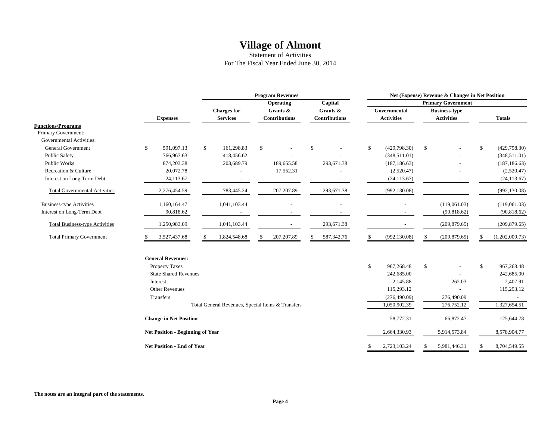Statement of Activities

For The Fiscal Year Ended June 30, 2014

|                                       |                                  | <b>Program Revenues</b> |                                                   |                      |             |                      |            | Net (Expense) Revenue & Changes in Net Position |                          |                           |                      |               |                |  |  |  |
|---------------------------------------|----------------------------------|-------------------------|---------------------------------------------------|----------------------|-------------|----------------------|------------|-------------------------------------------------|--------------------------|---------------------------|----------------------|---------------|----------------|--|--|--|
|                                       |                                  |                         |                                                   |                      | Operating   |                      | Capital    |                                                 |                          | <b>Primary Government</b> |                      |               |                |  |  |  |
|                                       |                                  |                         | <b>Charges</b> for                                |                      | Grants &    |                      | Grants &   | Governmental                                    |                          |                           | <b>Business-type</b> |               |                |  |  |  |
|                                       | <b>Expenses</b>                  | <b>Services</b>         |                                                   | <b>Contributions</b> |             | <b>Contributions</b> |            |                                                 | <b>Activities</b>        |                           | <b>Activities</b>    | <b>Totals</b> |                |  |  |  |
| <b>Functions/Programs</b>             |                                  |                         |                                                   |                      |             |                      |            |                                                 |                          |                           |                      |               |                |  |  |  |
| Primary Government:                   |                                  |                         |                                                   |                      |             |                      |            |                                                 |                          |                           |                      |               |                |  |  |  |
| Governmental Activities:              |                                  |                         |                                                   |                      |             |                      |            |                                                 |                          |                           |                      |               |                |  |  |  |
| <b>General Government</b>             | 591,097.13<br>\$                 | \$                      | 161,298.83                                        | \$                   |             | $\mathbb{S}$         |            | \$                                              | (429,798.30)             | \$                        |                      | \$            | (429,798.30)   |  |  |  |
| <b>Public Safety</b>                  | 766,967.63                       |                         | 418,456.62                                        |                      |             |                      |            |                                                 | (348, 511.01)            |                           |                      |               | (348, 511.01)  |  |  |  |
| Public Works                          | 874,203.38                       |                         | 203,689.79                                        |                      | 189,655.58  |                      | 293,671.38 |                                                 | (187, 186.63)            |                           |                      |               | (187, 186.63)  |  |  |  |
| Recreation & Culture                  | 20,072.78                        |                         |                                                   |                      | 17,552.31   |                      |            |                                                 | (2,520.47)               |                           |                      |               | (2,520.47)     |  |  |  |
| Interest on Long-Term Debt            | 24,113.67                        |                         |                                                   |                      |             |                      |            |                                                 | (24, 113.67)             |                           |                      |               | (24, 113.67)   |  |  |  |
| <b>Total Governmental Activities</b>  | 2,276,454.59                     |                         | 783,445.24                                        |                      | 207, 207.89 |                      | 293,671.38 |                                                 | (992, 130.08)            |                           |                      |               | (992, 130.08)  |  |  |  |
| <b>Business-type Activities</b>       | 1,160,164.47                     |                         | 1,041,103.44                                      |                      |             |                      |            |                                                 |                          |                           | (119,061.03)         |               | (119,061.03)   |  |  |  |
| Interest on Long-Term Debt            | 90,818.62                        |                         |                                                   |                      |             |                      |            |                                                 |                          |                           | (90, 818.62)         |               | (90, 818.62)   |  |  |  |
| <b>Total Business-type Activities</b> | 1,250,983.09                     |                         | 1,041,103.44                                      |                      |             |                      | 293,671.38 |                                                 | $\overline{\phantom{a}}$ |                           | (209, 879.65)        |               | (209, 879.65)  |  |  |  |
| <b>Total Primary Government</b>       | 3,527,437.68                     |                         | 1,824,548.68                                      |                      | 207, 207.89 |                      | 587,342.76 |                                                 | (992, 130.08)            |                           | (209, 879.65)        |               | (1,202,009.73) |  |  |  |
|                                       | <b>General Revenues:</b>         |                         |                                                   |                      |             |                      |            |                                                 |                          |                           |                      |               |                |  |  |  |
|                                       | <b>Property Taxes</b>            |                         |                                                   |                      |             |                      |            | \$                                              | 967,268.48               | \$                        |                      | \$            | 967,268.48     |  |  |  |
|                                       | <b>State Shared Revenues</b>     |                         |                                                   |                      |             |                      |            |                                                 | 242,685.00               |                           |                      |               | 242,685.00     |  |  |  |
|                                       | Interest                         |                         |                                                   |                      |             |                      |            |                                                 | 2,145.88                 |                           | 262.03               |               | 2,407.91       |  |  |  |
|                                       | Other Revenues                   |                         |                                                   |                      |             |                      |            |                                                 | 115,293.12               |                           |                      |               | 115,293.12     |  |  |  |
|                                       | Transfers                        |                         |                                                   |                      |             |                      |            |                                                 | (276, 490.09)            |                           | 276,490.09           |               |                |  |  |  |
|                                       |                                  |                         | Total General Revenues, Special Items & Transfers |                      |             |                      |            |                                                 | 1,050,902.39             |                           | 276,752.12           |               | 1,327,654.51   |  |  |  |
|                                       |                                  |                         |                                                   |                      |             |                      |            |                                                 |                          |                           |                      |               |                |  |  |  |
|                                       | <b>Change in Net Position</b>    |                         |                                                   |                      |             |                      |            |                                                 | 58,772.31                |                           | 66,872.47            |               | 125,644.78     |  |  |  |
|                                       | Net Position - Beginning of Year |                         |                                                   |                      |             |                      |            |                                                 | 2,664,330.93             |                           | 5,914,573.84         |               | 8,578,904.77   |  |  |  |
|                                       | Net Position - End of Year       |                         |                                                   |                      |             |                      |            | \$                                              | 2,723,103.24             | -8                        | 5,981,446.31         | S             | 8,704,549.55   |  |  |  |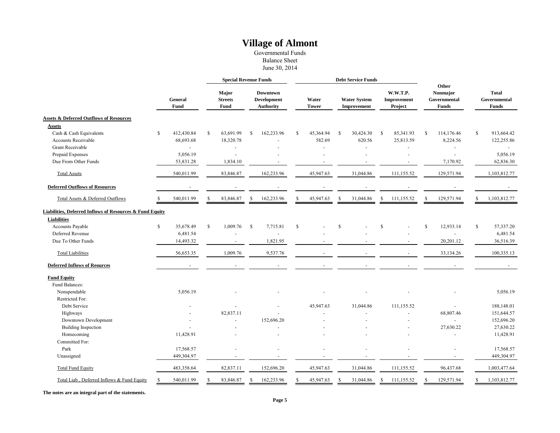Balance Sheet June 30, 2014 Governmental Funds

|                                                          |                             |              | <b>Special Revenue Funds</b>                  |      | <b>Debt Service Funds</b>                                 |              |                       |               |                                    |               |                                           |                                                   |                             |                                              |              |  |
|----------------------------------------------------------|-----------------------------|--------------|-----------------------------------------------|------|-----------------------------------------------------------|--------------|-----------------------|---------------|------------------------------------|---------------|-------------------------------------------|---------------------------------------------------|-----------------------------|----------------------------------------------|--------------|--|
|                                                          | General<br>Fund             |              | <b>Major</b><br><b>Streets</b><br><b>Fund</b> |      | <b>Downtown</b><br><b>Development</b><br><b>Authority</b> |              | Water<br><b>Tower</b> |               | <b>Water System</b><br>Improvement |               | <b>W.W.T.P.</b><br>Improvement<br>Project | Other<br>Nonmajor<br>Governmental<br><b>Funds</b> |                             | <b>Total</b><br>Governmental<br><b>Funds</b> |              |  |
| Assets & Deferred Outflows of Resources                  |                             |              |                                               |      |                                                           |              |                       |               |                                    |               |                                           |                                                   |                             |                                              |              |  |
| <b>Assets</b>                                            |                             |              |                                               |      |                                                           |              |                       |               |                                    |               |                                           |                                                   |                             |                                              |              |  |
| Cash & Cash Equivalents                                  | $\mathbb{S}$<br>412,430.84  | $\mathbb S$  | 63,691.99                                     | S    | 162,233.96                                                | \$           | 45,364.94             | <sup>S</sup>  | 30,424.30                          | <sup>\$</sup> | 85,341.93                                 | $\mathbb{S}$                                      | 114,176.46                  | \$                                           | 913,664.42   |  |
| <b>Accounts Receivable</b>                               | 68,693.68                   |              | 18,320.78                                     |      |                                                           |              | 582.69                |               | 620.56                             |               | 25,813.59                                 |                                                   | 8,224.56                    |                                              | 122,255.86   |  |
| Grant Receivable                                         | $\sim$                      |              |                                               |      |                                                           |              |                       |               | ä,                                 |               |                                           |                                                   |                             |                                              |              |  |
| Prepaid Expenses                                         | 5,056.19                    |              |                                               |      |                                                           |              |                       |               |                                    |               |                                           |                                                   |                             |                                              | 5,056.19     |  |
| Due From Other Funds                                     | 53,831.28                   |              | 1,834.10                                      |      |                                                           |              |                       |               |                                    |               |                                           |                                                   | 7,170.92                    |                                              | 62,836.30    |  |
| <b>Total Assets</b>                                      | 540,011.99                  |              | 83,846.87                                     |      | 162,233.96                                                |              | 45,947.63             |               | 31,044.86                          |               | 111,155.52                                |                                                   | 129,571.94                  |                                              | 1,103,812.77 |  |
| <b>Deferred Outflows of Resources</b>                    |                             |              |                                               |      |                                                           |              |                       |               |                                    |               |                                           |                                                   |                             |                                              |              |  |
| Total Assets & Deferred Outflows                         | 540,011.99                  | S            | 83,846.87                                     |      | 162,233.96                                                | \$           | 45,947.63             | S             | 31,044.86                          | \$            | 111,155.52                                | S                                                 | 129,571.94                  | <sup>\$</sup>                                | 1,103,812.77 |  |
| Liabilities, Deferred Inflows of Resources & Fund Equity |                             |              |                                               |      |                                                           |              |                       |               |                                    |               |                                           |                                                   |                             |                                              |              |  |
| <b>Liabilities</b>                                       |                             |              |                                               |      |                                                           |              |                       |               |                                    |               |                                           |                                                   |                             |                                              |              |  |
| Accounts Payable                                         | \$<br>35,678.49             | $\mathbb{S}$ | 1,009.76                                      | - \$ | 7,715.81                                                  | $\mathbb{S}$ |                       | <sup>\$</sup> |                                    | <sup>\$</sup> |                                           | $\mathbb{S}$                                      | 12,933.14                   | \$                                           | 57,337.20    |  |
| Deferred Revenue                                         | 6,481.54                    |              |                                               |      |                                                           |              |                       |               |                                    |               |                                           |                                                   |                             |                                              | 6,481.54     |  |
| Due To Other Funds                                       | 14,493.32                   |              | $\sim$                                        |      | 1,821.95                                                  |              |                       |               |                                    |               |                                           |                                                   | 20,201.12                   |                                              | 36,516.39    |  |
| <b>Total Liabilities</b>                                 | 56,653.35                   |              | 1,009.76                                      |      | 9,537.76                                                  |              |                       |               |                                    |               |                                           |                                                   | 33,134.26                   |                                              | 100,335.13   |  |
| <b>Deferred Inflows of Reources</b>                      |                             |              |                                               |      |                                                           |              |                       |               |                                    |               |                                           |                                                   |                             |                                              |              |  |
| <b>Fund Equity</b>                                       |                             |              |                                               |      |                                                           |              |                       |               |                                    |               |                                           |                                                   |                             |                                              |              |  |
| Fund Balances:                                           |                             |              |                                               |      |                                                           |              |                       |               |                                    |               |                                           |                                                   |                             |                                              |              |  |
| Nonspendable                                             | 5,056.19                    |              |                                               |      |                                                           |              |                       |               |                                    |               |                                           |                                                   |                             |                                              | 5,056.19     |  |
| Restricted For:                                          |                             |              |                                               |      |                                                           |              |                       |               |                                    |               |                                           |                                                   |                             |                                              |              |  |
| Debt Service                                             |                             |              |                                               |      |                                                           |              | 45,947.63             |               | 31,044.86                          |               | 111,155.52                                |                                                   |                             |                                              | 188,148.01   |  |
| Highways                                                 |                             |              | 82,837.11                                     |      | $\sim$                                                    |              |                       |               |                                    |               |                                           |                                                   | 68,807.46                   |                                              | 151,644.57   |  |
| Downtown Development                                     |                             |              |                                               |      | 152,696.20                                                |              |                       |               |                                    |               |                                           |                                                   | $\mathcal{L}^{\mathcal{L}}$ |                                              | 152,696.20   |  |
| <b>Building Inspection</b>                               |                             |              |                                               |      |                                                           |              |                       |               |                                    |               |                                           |                                                   | 27,630.22                   |                                              | 27,630.22    |  |
| Homecoming                                               | 11,428.91                   |              |                                               |      |                                                           |              |                       |               |                                    |               |                                           |                                                   | $\overline{a}$              |                                              | 11,428.91    |  |
| Committed For:                                           |                             |              |                                               |      |                                                           |              |                       |               |                                    |               |                                           |                                                   |                             |                                              |              |  |
| Park                                                     | 17,568.57                   |              |                                               |      |                                                           |              |                       |               |                                    |               |                                           |                                                   |                             |                                              | 17,568.57    |  |
| Unassigned                                               | 449,304.97                  |              |                                               |      |                                                           |              |                       |               |                                    |               |                                           |                                                   |                             |                                              | 449,304.97   |  |
| <b>Total Fund Equity</b>                                 | 483,358.64                  |              | 82,837.11                                     |      | 152,696.20                                                |              | 45,947.63             |               | 31,044.86                          |               | 111,155.52                                |                                                   | 96,437.68                   |                                              | 1,003,477.64 |  |
| Total Liab., Deferred Inflows & Fund Equity              | <sup>\$</sup><br>540,011.99 | <sup>S</sup> | 83,846.87                                     | -S   | 162,233.96                                                | S            | 45,947.63             | S             | 31,044.86                          | <sup>\$</sup> | 111,155.52                                | S                                                 | 129,571.94                  | \$                                           | 1,103,812.77 |  |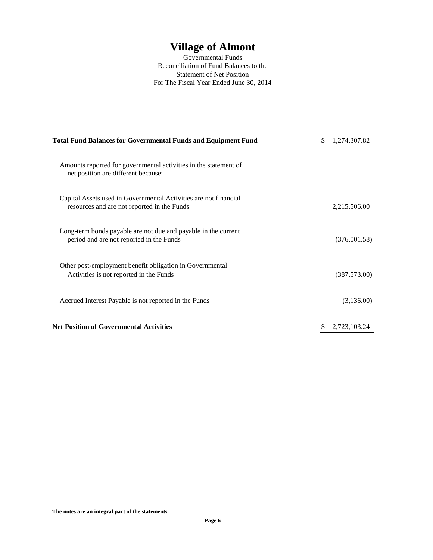Governmental Funds Reconciliation of Fund Balances to the Statement of Net Position For The Fiscal Year Ended June 30, 2014

| <b>Total Fund Balances for Governmental Funds and Equipment Fund</b>                                            | 1,274,307.82  |
|-----------------------------------------------------------------------------------------------------------------|---------------|
| Amounts reported for governmental activities in the statement of<br>net position are different because:         |               |
| Capital Assets used in Governmental Activities are not financial<br>resources and are not reported in the Funds | 2,215,506.00  |
| Long-term bonds payable are not due and payable in the current<br>period and are not reported in the Funds      | (376,001.58)  |
| Other post-employment benefit obligation in Governmental<br>Activities is not reported in the Funds             | (387, 573.00) |
| Accrued Interest Payable is not reported in the Funds                                                           | (3,136.00)    |
| <b>Net Position of Governmental Activities</b>                                                                  | 2,723,103.24  |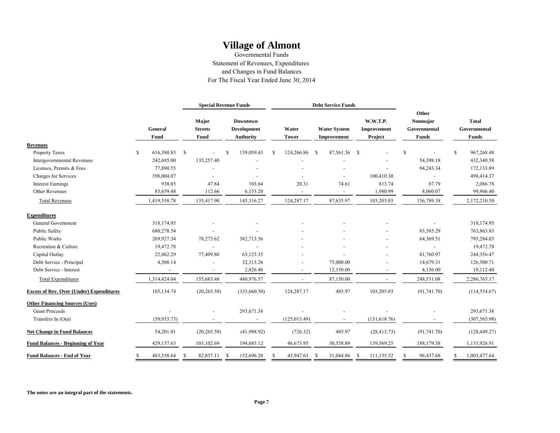Statement of Revenues, Expenditures and Changes in Fund Balances Governmental Funds For The Fiscal Year Ended June 30, 2014

|                                                 |   |                 |               | <b>Special Revenue Funds</b>                                                                 |    |              | <b>Debt Service Funds</b> |                          |                                    |                |                                           |                          |                                                   |              |    |                                              |
|-------------------------------------------------|---|-----------------|---------------|----------------------------------------------------------------------------------------------|----|--------------|---------------------------|--------------------------|------------------------------------|----------------|-------------------------------------------|--------------------------|---------------------------------------------------|--------------|----|----------------------------------------------|
|                                                 |   | General<br>Fund |               | Major<br><b>Downtown</b><br><b>Streets</b><br><b>Development</b><br>Fund<br><b>Authority</b> |    |              | Water<br><b>Tower</b>     |                          | <b>Water System</b><br>Improvement |                | <b>W.W.T.P.</b><br>Improvement<br>Project |                          | Other<br>Nonmajor<br>Governmental<br><b>Funds</b> |              |    | <b>Total</b><br>Governmental<br><b>Funds</b> |
| <b>Revenues</b>                                 |   |                 |               |                                                                                              |    |              |                           |                          |                                    |                |                                           |                          |                                                   |              |    |                                              |
| <b>Property Taxes</b>                           | S | 616,380.83      | <sup>\$</sup> |                                                                                              | \$ | 139,059.43   | -S                        | 124,266.86               | - S                                | 87,561.36      | $\mathbf{s}$                              |                          | \$                                                |              | \$ | 967,268.48                                   |
| <b>Intergovernmental Revenues</b>               |   | 242,685.00      |               | 135,257.40                                                                                   |    |              |                           |                          |                                    |                |                                           |                          |                                                   | 54,398.18    |    | 432,340.58                                   |
| Licenses, Permits & Fees                        |   | 77,890.55       |               |                                                                                              |    |              |                           |                          |                                    |                |                                           |                          |                                                   | 94,243.34    |    | 172,133.89                                   |
| Charges for Services                            |   | 398,004.07      |               |                                                                                              |    |              |                           |                          |                                    |                |                                           | 100,410.30               |                                                   |              |    | 498,414.37                                   |
| <b>Interest Earnings</b>                        |   | 938.85          |               | 47.84                                                                                        |    | 103.64       |                           | 20.31                    |                                    | 74.61          |                                           | 813.74                   |                                                   | 87.79        |    | 2,086.78                                     |
| Other Revenues                                  |   | 83,659.48       |               | 112.66                                                                                       |    | 6,153.20     |                           |                          |                                    | $\blacksquare$ |                                           | 1,980.99                 |                                                   | 8,060.07     |    | 99,966.40                                    |
| <b>Total Revenues</b>                           |   | 1,419,558.78    |               | 135,417.90                                                                                   |    | 145,316.27   |                           | 124,287.17               |                                    | 87,635.97      |                                           | 103,205.03               |                                                   | 156,789.38   |    | 2,172,210.50                                 |
| <b>Expenditures</b>                             |   |                 |               |                                                                                              |    |              |                           |                          |                                    |                |                                           |                          |                                                   |              |    |                                              |
| General Government                              |   | 318,174.95      |               |                                                                                              |    |              |                           |                          |                                    |                |                                           |                          |                                                   |              |    | 318,174.95                                   |
| Public Safety                                   |   | 680,278.54      |               |                                                                                              |    |              |                           |                          |                                    |                |                                           |                          |                                                   | 83,585.29    |    | 763,863.83                                   |
| <b>Public Works</b>                             |   | 269,927.34      |               | 78,273.62                                                                                    |    | 382,713.56   |                           |                          |                                    |                |                                           |                          |                                                   | 64,369.51    |    | 795,284.03                                   |
| Recreation & Culture                            |   | 19,472.78       |               |                                                                                              |    |              |                           |                          |                                    |                |                                           |                          |                                                   | $\sim$       |    | 19,472.78                                    |
| Capital Outlay                                  |   | 22,062.29       |               | 77,409.86                                                                                    |    | 63,123.35    |                           |                          |                                    |                |                                           |                          |                                                   | 81,760.97    |    | 244,356.47                                   |
| Debt Service - Principal                        |   | 4,508.14        |               |                                                                                              |    | 32,313.26    |                           |                          |                                    | 75,000.00      |                                           |                          |                                                   | 14,679.31    |    | 126,500.71                                   |
| Debt Service - Interest                         |   |                 |               |                                                                                              |    | 2,826.40     |                           |                          |                                    | 12,150.00      |                                           |                          |                                                   | 4,136.00     |    | 19,112.40                                    |
| <b>Total Expenditures</b>                       |   | 1,314,424.04    |               | 155,683.48                                                                                   |    | 480,976.57   |                           | $\overline{\phantom{a}}$ |                                    | 87,150.00      |                                           | $\overline{\phantom{a}}$ |                                                   | 248,531.08   |    | 2,286,765.17                                 |
| <b>Excess of Rev. Over (Under) Expenditures</b> |   | 105,134.74      |               | (20, 265.58)                                                                                 |    | (335,660.30) |                           | 124,287.17               |                                    | 485.97         |                                           | 103,205.03               |                                                   | (91,741.70)  |    | (114, 554.67)                                |
| <b>Other Financing Sources (Uses)</b>           |   |                 |               |                                                                                              |    |              |                           |                          |                                    |                |                                           |                          |                                                   |              |    |                                              |
| <b>Grant Proceeds</b>                           |   |                 |               |                                                                                              |    | 293,671.38   |                           |                          |                                    |                |                                           |                          |                                                   |              |    | 293,671.38                                   |
| Transfers In (Out)                              |   | (50, 933.73)    |               |                                                                                              |    |              |                           | (125, 013.49)            |                                    |                |                                           | (131, 618.76)            |                                                   |              |    | (307, 565.98)                                |
| <b>Net Change in Fund Balances</b>              |   | 54,201.01       |               | (20, 265.58)                                                                                 |    | (41,988.92)  |                           | (726.32)                 |                                    | 485.97         |                                           | (28, 413.73)             |                                                   | (91, 741.70) |    | (128, 449.27)                                |
| <b>Fund Balances - Beginning of Year</b>        |   | 429,157.63      |               | 103,102.69                                                                                   |    | 194,685.12   |                           | 46,673.95                |                                    | 30,558.89      |                                           | 139,569.25               |                                                   | 188,179.38   |    | 1,131,926.91                                 |
| <b>Fund Balances - End of Year</b>              |   | 483,358.64      | -S            | 82,837.11 \$                                                                                 |    | 152,696.20   | -S                        | 45,947.63                | - S                                | 31,044.86      | - \$                                      | 111,155.52               | \$                                                | 96,437.68    | S. | 1,003,477.64                                 |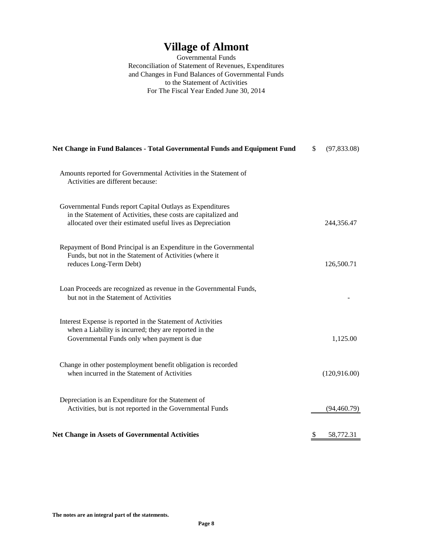Governmental Funds Reconciliation of Statement of Revenues, Expenditures and Changes in Fund Balances of Governmental Funds For The Fiscal Year Ended June 30, 2014 to the Statement of Activities

| Net Change in Fund Balances - Total Governmental Funds and Equipment Fund                                                                                                                   | \$<br>(97, 833.08) |
|---------------------------------------------------------------------------------------------------------------------------------------------------------------------------------------------|--------------------|
| Amounts reported for Governmental Activities in the Statement of<br>Activities are different because:                                                                                       |                    |
| Governmental Funds report Capital Outlays as Expenditures<br>in the Statement of Activities, these costs are capitalized and<br>allocated over their estimated useful lives as Depreciation | 244,356.47         |
| Repayment of Bond Principal is an Expenditure in the Governmental<br>Funds, but not in the Statement of Activities (where it<br>reduces Long-Term Debt)                                     | 126,500.71         |
| Loan Proceeds are recognized as revenue in the Governmental Funds,<br>but not in the Statement of Activities                                                                                |                    |
| Interest Expense is reported in the Statement of Activities<br>when a Liability is incurred; they are reported in the<br>Governmental Funds only when payment is due                        | 1,125.00           |
| Change in other postemployment benefit obligation is recorded<br>when incurred in the Statement of Activities                                                                               | (120,916.00)       |
| Depreciation is an Expenditure for the Statement of<br>Activities, but is not reported in the Governmental Funds                                                                            | (94, 460.79)       |
| <b>Net Change in Assets of Governmental Activities</b>                                                                                                                                      | \$<br>58,772.31    |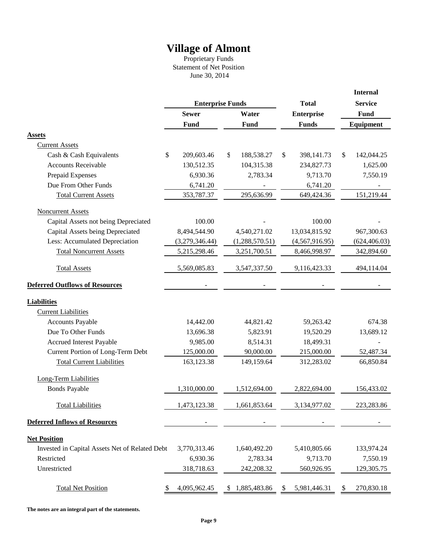Statement of Net Position Proprietary Funds June 30, 2014

|                                                |                         |                  |                    | <b>Internal</b>  |
|------------------------------------------------|-------------------------|------------------|--------------------|------------------|
|                                                | <b>Enterprise Funds</b> |                  | <b>Total</b>       | <b>Service</b>   |
|                                                | <b>Sewer</b>            | Water            | <b>Enterprise</b>  | <b>Fund</b>      |
|                                                | <b>Fund</b>             | <b>Fund</b>      | <b>Funds</b>       | Equipment        |
| <b>Assets</b>                                  |                         |                  |                    |                  |
| <b>Current Assets</b>                          |                         |                  |                    |                  |
| Cash & Cash Equivalents                        | \$<br>209,603.46        | \$<br>188,538.27 | \$<br>398,141.73   | 142,044.25<br>\$ |
| <b>Accounts Receivable</b>                     | 130,512.35              | 104,315.38       | 234,827.73         | 1,625.00         |
| Prepaid Expenses                               | 6,930.36                | 2,783.34         | 9,713.70           | 7,550.19         |
| Due From Other Funds                           | 6,741.20                |                  | 6,741.20           |                  |
| <b>Total Current Assets</b>                    | 353,787.37              | 295,636.99       | 649,424.36         | 151,219.44       |
| <b>Noncurrent Assets</b>                       |                         |                  |                    |                  |
| Capital Assets not being Depreciated           | 100.00                  |                  | 100.00             |                  |
| Capital Assets being Depreciated               | 8,494,544.90            | 4,540,271.02     | 13,034,815.92      | 967,300.63       |
| Less: Accumulated Depreciation                 | (3,279,346.44)          | (1,288,570.51)   | (4,567,916.95)     | (624, 406.03)    |
| <b>Total Noncurrent Assets</b>                 | 5,215,298.46            | 3,251,700.51     | 8,466,998.97       | 342,894.60       |
| <b>Total Assets</b>                            | 5,569,085.83            | 3,547,337.50     | 9,116,423.33       | 494,114.04       |
| <b>Deferred Outflows of Resources</b>          |                         |                  |                    |                  |
| <b>Liabilities</b>                             |                         |                  |                    |                  |
| <b>Current Liabilities</b>                     |                         |                  |                    |                  |
| <b>Accounts Payable</b>                        | 14,442.00               | 44,821.42        | 59,263.42          | 674.38           |
| Due To Other Funds                             | 13,696.38               | 5,823.91         | 19,520.29          | 13,689.12        |
| Accrued Interest Payable                       | 9,985.00                | 8,514.31         | 18,499.31          |                  |
| Current Portion of Long-Term Debt              | 125,000.00              | 90,000.00        | 215,000.00         | 52,487.34        |
| <b>Total Current Liabilities</b>               | 163,123.38              | 149,159.64       | 312,283.02         | 66,850.84        |
| Long-Term Liabilities                          |                         |                  |                    |                  |
| <b>Bonds Payable</b>                           | 1,310,000.00            | 1,512,694.00     | 2,822,694.00       | 156,433.02       |
| <b>Total Liabilities</b>                       | 1,473,123.38            | 1,661,853.64     | 3,134,977.02       | 223,283.86       |
| <b>Deferred Inflows of Resources</b>           |                         |                  |                    |                  |
| <b>Net Position</b>                            |                         |                  |                    |                  |
| Invested in Capital Assets Net of Related Debt | 3,770,313.46            | 1,640,492.20     | 5,410,805.66       | 133,974.24       |
| Restricted                                     | 6,930.36                | 2,783.34         | 9,713.70           | 7,550.19         |
| Unrestricted                                   | 318,718.63              | 242,208.32       | 560,926.95         | 129,305.75       |
| <b>Total Net Position</b>                      | 4,095,962.45            | \$1,885,483.86   | 5,981,446.31<br>S. | 270,830.18       |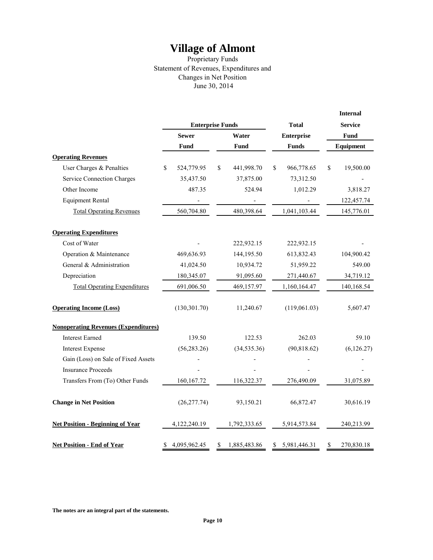Statement of Revenues, Expenditures and Changes in Net Position Proprietary Funds June 30, 2014

|                                             |                         |                    |                    | <b>Internal</b>  |
|---------------------------------------------|-------------------------|--------------------|--------------------|------------------|
|                                             | <b>Enterprise Funds</b> |                    | <b>Total</b>       | <b>Service</b>   |
|                                             | <b>Sewer</b>            | Water              | <b>Enterprise</b>  | Fund             |
|                                             | Fund                    | Fund               | <b>Funds</b>       | Equipment        |
| <b>Operating Revenues</b>                   |                         |                    |                    |                  |
| User Charges & Penalties                    | \$<br>524,779.95        | \$<br>441,998.70   | \$<br>966,778.65   | \$<br>19,500.00  |
| <b>Service Connection Charges</b>           | 35,437.50               | 37,875.00          | 73,312.50          |                  |
| Other Income                                | 487.35                  | 524.94             | 1,012.29           | 3,818.27         |
| <b>Equipment Rental</b>                     |                         |                    |                    | 122,457.74       |
| <b>Total Operating Revenues</b>             | 560,704.80              | 480,398.64         | 1,041,103.44       | 145,776.01       |
| <b>Operating Expenditures</b>               |                         |                    |                    |                  |
| Cost of Water                               |                         | 222,932.15         | 222,932.15         |                  |
| Operation & Maintenance                     | 469,636.93              | 144,195.50         | 613,832.43         | 104,900.42       |
| General & Administration                    | 41,024.50               | 10,934.72          | 51,959.22          | 549.00           |
| Depreciation                                | 180,345.07              | 91,095.60          | 271,440.67         | 34,719.12        |
| <b>Total Operating Expenditures</b>         | 691,006.50              | 469,157.97         | 1,160,164.47       | 140,168.54       |
| <b>Operating Income (Loss)</b>              | (130, 301.70)           | 11,240.67          | (119,061.03)       | 5,607.47         |
| <b>Nonoperating Revenues (Expenditures)</b> |                         |                    |                    |                  |
| <b>Interest Earned</b>                      | 139.50                  | 122.53             | 262.03             | 59.10            |
| <b>Interest Expense</b>                     | (56, 283.26)            | (34, 535.36)       | (90, 818.62)       | (6, 126.27)      |
| Gain (Loss) on Sale of Fixed Assets         |                         |                    |                    |                  |
| <b>Insurance Proceeds</b>                   |                         |                    |                    |                  |
| Transfers From (To) Other Funds             | 160, 167. 72            | 116,322.37         | 276,490.09         | 31,075.89        |
| <b>Change in Net Position</b>               | (26, 277.74)            | 93,150.21          | 66,872.47          | 30,616.19        |
| <b>Net Position - Beginning of Year</b>     | 4,122,240.19            | 1,792,333.65       | 5,914,573.84       | 240,213.99       |
| <b>Net Position - End of Year</b>           | \$<br>4,095,962.45      | \$<br>1,885,483.86 | \$<br>5,981,446.31 | \$<br>270,830.18 |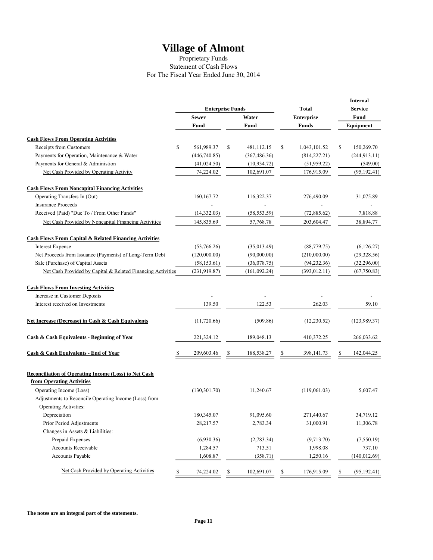#### Statement of Cash Flows Proprietary Funds For The Fiscal Year Ended June 30, 2014

|                                                                   |    | <b>Enterprise Funds</b> |    |               | <b>Total</b>       | <b>Internal</b><br><b>Service</b> |
|-------------------------------------------------------------------|----|-------------------------|----|---------------|--------------------|-----------------------------------|
|                                                                   |    | <b>Sewer</b>            |    | Water         | <b>Enterprise</b>  | Fund                              |
|                                                                   |    | Fund                    |    | Fund          | <b>Funds</b>       | Equipment                         |
| <b>Cash Flows From Operating Activities</b>                       |    |                         |    |               |                    |                                   |
| Receipts from Customers                                           | \$ | 561,989.37              | \$ | 481,112.15    | \$<br>1,043,101.52 | \$<br>150,269.70                  |
| Payments for Operation, Maintenance & Water                       |    | (446, 740.85)           |    | (367, 486.36) | (814, 227.21)      | (244, 913.11)                     |
| Payments for General & Administion                                |    | (41, 024.50)            |    | (10, 934.72)  | (51,959.22)        | (549.00)                          |
| Net Cash Provided by Operating Activity                           |    | 74,224.02               |    | 102,691.07    | 176,915.09         | (95, 192.41)                      |
| <b>Cash Flows From Noncapital Financing Activities</b>            |    |                         |    |               |                    |                                   |
| Operating Transfers In (Out)                                      |    | 160, 167. 72            |    | 116,322.37    | 276,490.09         | 31,075.89                         |
| <b>Insurance Proceeds</b>                                         |    |                         |    |               |                    |                                   |
| Received (Paid) "Due To / From Other Funds"                       |    | (14, 332.03)            |    | (58, 553.59)  | (72,885.62)        | 7,818.88                          |
| Net Cash Provided by Noncapital Financing Activities              |    | 145,835.69              |    | 57,768.78     | 203,604.47         | 38,894.77                         |
|                                                                   |    |                         |    |               |                    |                                   |
| <b>Cash Flows From Capital &amp; Related Financing Activities</b> |    |                         |    |               |                    |                                   |
| <b>Interest Expense</b>                                           |    | (53,766.26)             |    | (35,013.49)   | (88, 779.75)       | (6,126.27)                        |
| Net Proceeds from Issuance (Payments) of Long-Term Debt           |    | (120,000.00)            |    | (90,000.00)   | (210,000.00)       | (29, 328.56)                      |
| Sale (Purchase) of Capital Assets                                 |    | (58, 153.61)            |    | (36,078.75)   | (94, 232.36)       | (32, 296.00)                      |
| Net Cash Provided by Capital & Related Financing Activities       |    | (231.919.87)            |    | (161,092.24)  | (393, 012, 11)     | (67,750.83)                       |
| <b>Cash Flows From Investing Activities</b>                       |    |                         |    |               |                    |                                   |
| Increase in Customer Deposits                                     |    |                         |    |               |                    |                                   |
| Interest received on Investments                                  |    | 139.50                  |    | 122.53        | 262.03             | 59.10                             |
| <b>Net Increase (Decrease) in Cash &amp; Cash Equivalents</b>     |    | (11, 720.66)            |    | (509.86)      | (12, 230.52)       | (123, 989.37)                     |
| <b>Cash &amp; Cash Equivalents - Beginning of Year</b>            |    | 221,324.12              |    | 189,048.13    | 410,372.25         | 266,033.62                        |
| <b>Cash &amp; Cash Equivalents - End of Year</b>                  | S  | 209,603.46              | S  | 188,538.27    | \$<br>398,141.73   | \$<br>142,044.25                  |
| <b>Reconciliation of Operating Income (Loss) to Net Cash</b>      |    |                         |    |               |                    |                                   |
| from Operating Activities                                         |    |                         |    |               |                    |                                   |
| Operating Income (Loss)                                           |    | (130, 301.70)           |    | 11,240.67     | (119,061.03)       | 5,607.47                          |
| Adjustments to Reconcile Operating Income (Loss) from             |    |                         |    |               |                    |                                   |
| Operating Activities:                                             |    |                         |    |               |                    |                                   |
| Depreciation                                                      |    | 180,345.07              |    | 91,095.60     | 271,440.67         | 34,719.12                         |
| Prior Period Adjustments                                          |    | 28,217.57               |    | 2,783.34      | 31,000.91          | 11,306.78                         |
| Changes in Assets & Liabilities:                                  |    |                         |    |               |                    |                                   |
| Prepaid Expenses                                                  |    | (6,930.36)              |    | (2,783.34)    | (9,713.70)         | (7,550.19)                        |
| Accounts Receivable                                               |    | 1,284.57                |    | 713.51        | 1,998.08           | 737.10                            |
| Accounts Payable                                                  |    | 1,608.87                |    | (358.71)      | 1,250.16           | (140, 012.69)                     |
| Net Cash Provided by Operating Activities                         | \$ | 74,224.02               | \$ | 102,691.07    | \$<br>176,915.09   | \$<br>(95, 192.41)                |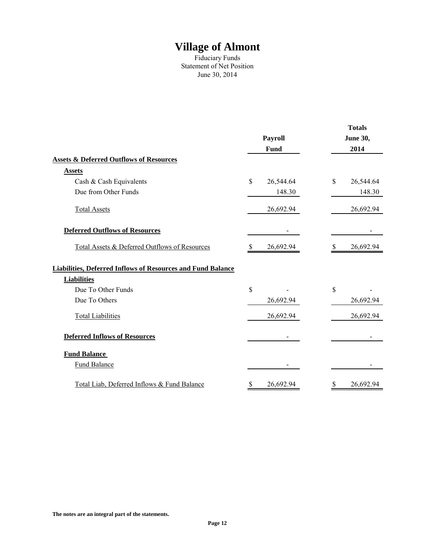Statement of Net Position Fiduciary Funds June 30, 2014

|                                                                    | <b>Payroll</b> |             |    |           |  |
|--------------------------------------------------------------------|----------------|-------------|----|-----------|--|
|                                                                    |                | <b>Fund</b> |    | 2014      |  |
| <b>Assets &amp; Deferred Outflows of Resources</b>                 |                |             |    |           |  |
| <b>Assets</b>                                                      |                |             |    |           |  |
| Cash & Cash Equivalents                                            | \$             | 26,544.64   | \$ | 26,544.64 |  |
| Due from Other Funds                                               |                | 148.30      |    | 148.30    |  |
| <b>Total Assets</b>                                                |                | 26,692.94   |    | 26,692.94 |  |
| <b>Deferred Outflows of Resources</b>                              |                |             |    |           |  |
| Total Assets & Deferred Outflows of Resources                      | S              | 26,692.94   |    | 26,692.94 |  |
| <b>Liabilities, Deferred Inflows of Resources and Fund Balance</b> |                |             |    |           |  |
| <b>Liabilities</b>                                                 |                |             |    |           |  |
| Due To Other Funds                                                 | \$             |             | \$ |           |  |
| Due To Others                                                      |                | 26,692.94   |    | 26,692.94 |  |
| <b>Total Liabilities</b>                                           |                | 26,692.94   |    | 26,692.94 |  |
| <b>Deferred Inflows of Resources</b>                               |                |             |    |           |  |
| <b>Fund Balance</b>                                                |                |             |    |           |  |
| <b>Fund Balance</b>                                                |                |             |    |           |  |
| Total Liab, Deferred Inflows & Fund Balance                        | S              | 26,692.94   | S  | 26,692.94 |  |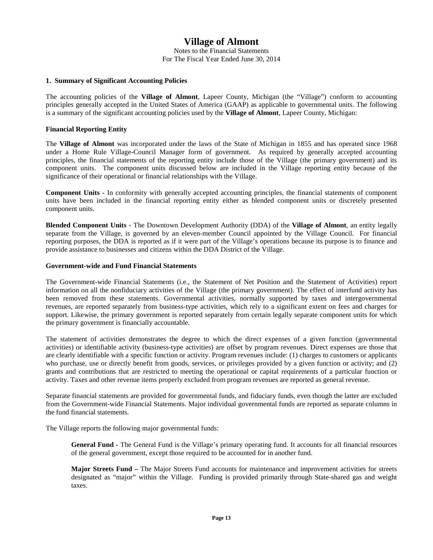Notes to the Financial Statements For The Fiscal Year Ended June 30, 2014

#### **1. Summary of Significant Accounting Policies**

The accounting policies of the **Village of Almont**, Lapeer County, Michigan (the "Village") conform to accounting principles generally accepted in the United States of America (GAAP) as applicable to governmental units. The following is a summary of the significant accounting policies used by the **Village of Almont**, Lapeer County, Michigan:

#### **Financial Reporting Entity**

The **Village of Almont** was incorporated under the laws of the State of Michigan in 1855 and has operated since 1968 under a Home Rule Village-Council Manager form of government. As required by generally accepted accounting principles, the financial statements of the reporting entity include those of the Village (the primary government) and its component units. The component units discussed below are included in the Village reporting entity because of the significance of their operational or financial relationships with the Village.

**Component Units -** In conformity with generally accepted accounting principles, the financial statements of component units have been included in the financial reporting entity either as blended component units or discretely presented component units.

**Blended Component Units -** The Downtown Development Authority (DDA) of the **Village of Almont**, an entity legally separate from the Village, is governed by an eleven-member Council appointed by the Village Council. For financial reporting purposes, the DDA is reported as if it were part of the Village's operations because its purpose is to finance and provide assistance to businesses and citizens within the DDA District of the Village.

#### **Government-wide and Fund Financial Statements**

The Government-wide Financial Statements (i.e., the Statement of Net Position and the Statement of Activities) report information on all the nonfiduciary activities of the Village (the primary government). The effect of interfund activity has been removed from these statements. Governmental activities, normally supported by taxes and intergovernmental revenues, are reported separately from business-type activities, which rely to a significant extent on fees and charges for support. Likewise, the primary government is reported separately from certain legally separate component units for which the primary government is financially accountable.

The statement of activities demonstrates the degree to which the direct expenses of a given function (governmental activities) or identifiable activity (business-type activities) are offset by program revenues. Direct expenses are those that are clearly identifiable with a specific function or activity. Program revenues include: (1) charges to customers or applicants who purchase, use or directly benefit from goods, services, or privileges provided by a given function or activity; and (2) grants and contributions that are restricted to meeting the operational or capital requirements of a particular function or activity. Taxes and other revenue items properly excluded from program revenues are reported as general revenue.

Separate financial statements are provided for governmental funds, and fiduciary funds, even though the latter are excluded from the Government-wide Financial Statements. Major individual governmental funds are reported as separate columns in the fund financial statements.

The Village reports the following major governmental funds:

**General Fund -** The General Fund is the Village's primary operating fund. It accounts for all financial resources of the general government, except those required to be accounted for in another fund.

**Major Streets Fund –** The Major Streets Fund accounts for maintenance and improvement activities for streets designated as "major" within the Village. Funding is provided primarily through State-shared gas and weight taxes.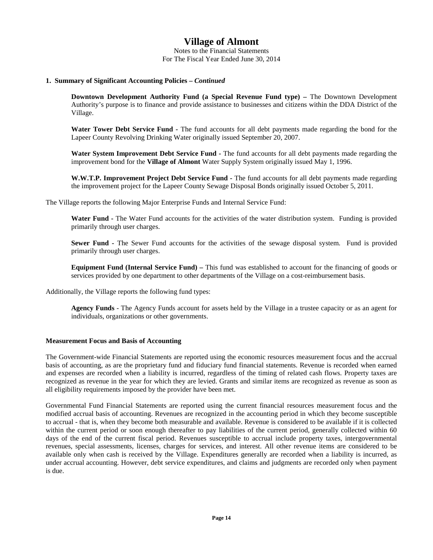Notes to the Financial Statements For The Fiscal Year Ended June 30, 2014

#### **1. Summary of Significant Accounting Policies –** *Continued*

**Downtown Development Authority Fund (a Special Revenue Fund type) –** The Downtown Development Authority's purpose is to finance and provide assistance to businesses and citizens within the DDA District of the Village.

**Water Tower Debt Service Fund -** The fund accounts for all debt payments made regarding the bond for the Lapeer County Revolving Drinking Water originally issued September 20, 2007.

**Water System Improvement Debt Service Fund -** The fund accounts for all debt payments made regarding the improvement bond for the **Village of Almont** Water Supply System originally issued May 1, 1996.

**W.W.T.P. Improvement Project Debt Service Fund -** The fund accounts for all debt payments made regarding the improvement project for the Lapeer County Sewage Disposal Bonds originally issued October 5, 2011.

The Village reports the following Major Enterprise Funds and Internal Service Fund:

**Water Fund -** The Water Fund accounts for the activities of the water distribution system. Funding is provided primarily through user charges.

**Sewer Fund -** The Sewer Fund accounts for the activities of the sewage disposal system. Fund is provided primarily through user charges.

**Equipment Fund (Internal Service Fund) –** This fund was established to account for the financing of goods or services provided by one department to other departments of the Village on a cost-reimbursement basis.

Additionally, the Village reports the following fund types:

**Agency Funds** - The Agency Funds account for assets held by the Village in a trustee capacity or as an agent for individuals, organizations or other governments.

#### **Measurement Focus and Basis of Accounting**

The Government-wide Financial Statements are reported using the economic resources measurement focus and the accrual basis of accounting, as are the proprietary fund and fiduciary fund financial statements. Revenue is recorded when earned and expenses are recorded when a liability is incurred, regardless of the timing of related cash flows. Property taxes are recognized as revenue in the year for which they are levied. Grants and similar items are recognized as revenue as soon as all eligibility requirements imposed by the provider have been met.

Governmental Fund Financial Statements are reported using the current financial resources measurement focus and the modified accrual basis of accounting. Revenues are recognized in the accounting period in which they become susceptible to accrual - that is, when they become both measurable and available. Revenue is considered to be available if it is collected within the current period or soon enough thereafter to pay liabilities of the current period, generally collected within 60 days of the end of the current fiscal period. Revenues susceptible to accrual include property taxes, intergovernmental revenues, special assessments, licenses, charges for services, and interest. All other revenue items are considered to be available only when cash is received by the Village. Expenditures generally are recorded when a liability is incurred, as under accrual accounting. However, debt service expenditures, and claims and judgments are recorded only when payment is due.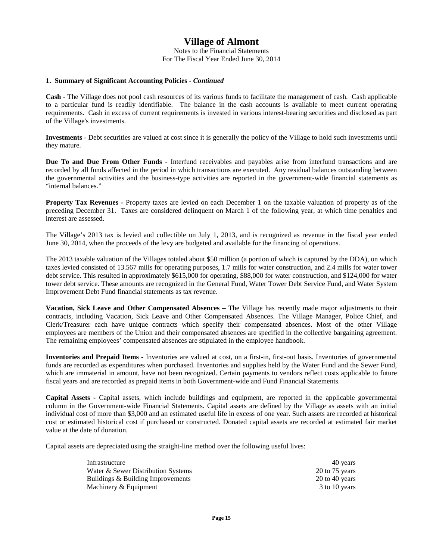Notes to the Financial Statements For The Fiscal Year Ended June 30, 2014

#### **1. Summary of Significant Accounting Policies -** *Continued*

**Cash** - The Village does not pool cash resources of its various funds to facilitate the management of cash. Cash applicable to a particular fund is readily identifiable. The balance in the cash accounts is available to meet current operating requirements. Cash in excess of current requirements is invested in various interest-bearing securities and disclosed as part of the Village's investments.

**Investments** - Debt securities are valued at cost since it is generally the policy of the Village to hold such investments until they mature.

**Due To and Due From Other Funds** - Interfund receivables and payables arise from interfund transactions and are recorded by all funds affected in the period in which transactions are executed. Any residual balances outstanding between the governmental activities and the business-type activities are reported in the government-wide financial statements as "internal balances."

**Property Tax Revenues -** Property taxes are levied on each December 1 on the taxable valuation of property as of the preceding December 31. Taxes are considered delinquent on March 1 of the following year, at which time penalties and interest are assessed.

The Village's 2013 tax is levied and collectible on July 1, 2013, and is recognized as revenue in the fiscal year ended June 30, 2014, when the proceeds of the levy are budgeted and available for the financing of operations.

The 2013 taxable valuation of the Villages totaled about \$50 million (a portion of which is captured by the DDA), on which taxes levied consisted of 13.567 mills for operating purposes, 1.7 mills for water construction, and 2.4 mills for water tower debt service. This resulted in approximately \$615,000 for operating, \$88,000 for water construction, and \$124,000 for water tower debt service. These amounts are recognized in the General Fund, Water Tower Debt Service Fund, and Water System Improvement Debt Fund financial statements as tax revenue.

**Vacation, Sick Leave and Other Compensated Absences –** The Village has recently made major adjustments to their contracts, including Vacation, Sick Leave and Other Compensated Absences. The Village Manager, Police Chief, and Clerk/Treasurer each have unique contracts which specify their compensated absences. Most of the other Village employees are members of the Union and their compensated absences are specified in the collective bargaining agreement. The remaining employees' compensated absences are stipulated in the employee handbook.

**Inventories and Prepaid Items -** Inventories are valued at cost, on a first-in, first-out basis. Inventories of governmental funds are recorded as expenditures when purchased. Inventories and supplies held by the Water Fund and the Sewer Fund, which are immaterial in amount, have not been recognized. Certain payments to vendors reflect costs applicable to future fiscal years and are recorded as prepaid items in both Government-wide and Fund Financial Statements.

**Capital Assets -** Capital assets, which include buildings and equipment, are reported in the applicable governmental column in the Government-wide Financial Statements. Capital assets are defined by the Village as assets with an initial individual cost of more than \$3,000 and an estimated useful life in excess of one year. Such assets are recorded at historical cost or estimated historical cost if purchased or constructed. Donated capital assets are recorded at estimated fair market value at the date of donation.

Capital assets are depreciated using the straight-line method over the following useful lives:

| Infrastructure                     | 40 years         |
|------------------------------------|------------------|
| Water & Sewer Distribution Systems | 20 to 75 years   |
| Buildings & Building Improvements  | $20$ to 40 years |
| Machinery & Equipment              | 3 to 10 years    |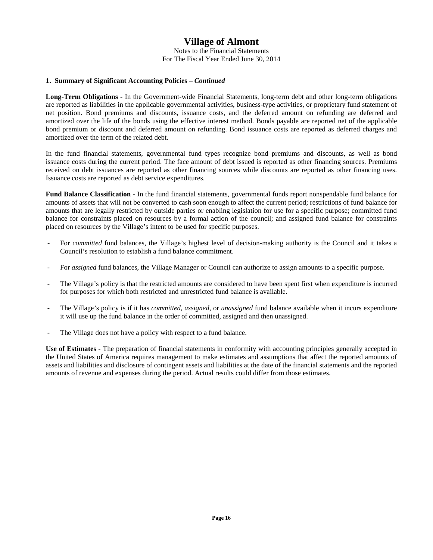Notes to the Financial Statements For The Fiscal Year Ended June 30, 2014

#### **1. Summary of Significant Accounting Policies –** *Continued*

**Long-Term Obligations -** In the Government-wide Financial Statements, long-term debt and other long-term obligations are reported as liabilities in the applicable governmental activities, business-type activities, or proprietary fund statement of net position. Bond premiums and discounts, issuance costs, and the deferred amount on refunding are deferred and amortized over the life of the bonds using the effective interest method. Bonds payable are reported net of the applicable bond premium or discount and deferred amount on refunding. Bond issuance costs are reported as deferred charges and amortized over the term of the related debt.

In the fund financial statements, governmental fund types recognize bond premiums and discounts, as well as bond issuance costs during the current period. The face amount of debt issued is reported as other financing sources. Premiums received on debt issuances are reported as other financing sources while discounts are reported as other financing uses. Issuance costs are reported as debt service expenditures.

**Fund Balance Classification** - In the fund financial statements, governmental funds report nonspendable fund balance for amounts of assets that will not be converted to cash soon enough to affect the current period; restrictions of fund balance for amounts that are legally restricted by outside parties or enabling legislation for use for a specific purpose; committed fund balance for constraints placed on resources by a formal action of the council; and assigned fund balance for constraints placed on resources by the Village's intent to be used for specific purposes.

- For *committed* fund balances, the Village's highest level of decision-making authority is the Council and it takes a Council's resolution to establish a fund balance commitment.
- For *assigned* fund balances, the Village Manager or Council can authorize to assign amounts to a specific purpose.
- The Village's policy is that the restricted amounts are considered to have been spent first when expenditure is incurred for purposes for which both restricted and unrestricted fund balance is available.
- The Village's policy is if it has *committed, assigned,* or *unassigned* fund balance available when it incurs expenditure it will use up the fund balance in the order of committed, assigned and then unassigned.
- The Village does not have a policy with respect to a fund balance.

**Use of Estimates -** The preparation of financial statements in conformity with accounting principles generally accepted in the United States of America requires management to make estimates and assumptions that affect the reported amounts of assets and liabilities and disclosure of contingent assets and liabilities at the date of the financial statements and the reported amounts of revenue and expenses during the period. Actual results could differ from those estimates.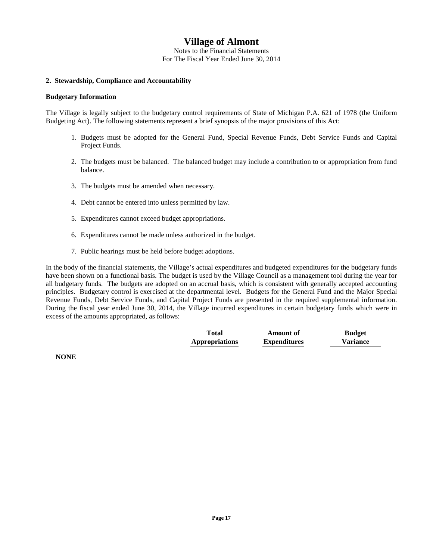Notes to the Financial Statements For The Fiscal Year Ended June 30, 2014

#### **2. Stewardship, Compliance and Accountability**

#### **Budgetary Information**

The Village is legally subject to the budgetary control requirements of State of Michigan P.A. 621 of 1978 (the Uniform Budgeting Act). The following statements represent a brief synopsis of the major provisions of this Act:

- 1. Budgets must be adopted for the General Fund, Special Revenue Funds, Debt Service Funds and Capital Project Funds.
- 2. The budgets must be balanced. The balanced budget may include a contribution to or appropriation from fund balance.
- 3. The budgets must be amended when necessary.
- 4. Debt cannot be entered into unless permitted by law.
- 5. Expenditures cannot exceed budget appropriations.
- 6. Expenditures cannot be made unless authorized in the budget.
- 7. Public hearings must be held before budget adoptions.

In the body of the financial statements, the Village's actual expenditures and budgeted expenditures for the budgetary funds have been shown on a functional basis. The budget is used by the Village Council as a management tool during the year for all budgetary funds. The budgets are adopted on an accrual basis, which is consistent with generally accepted accounting principles. Budgetary control is exercised at the departmental level. Budgets for the General Fund and the Major Special Revenue Funds, Debt Service Funds, and Capital Project Funds are presented in the required supplemental information. During the fiscal year ended June 30, 2014, the Village incurred expenditures in certain budgetary funds which were in excess of the amounts appropriated, as follows:

| Total                 | Amount of           | <b>Budget</b>   |
|-----------------------|---------------------|-----------------|
| <b>Appropriations</b> | <b>Expenditures</b> | <b>Variance</b> |

**NONE**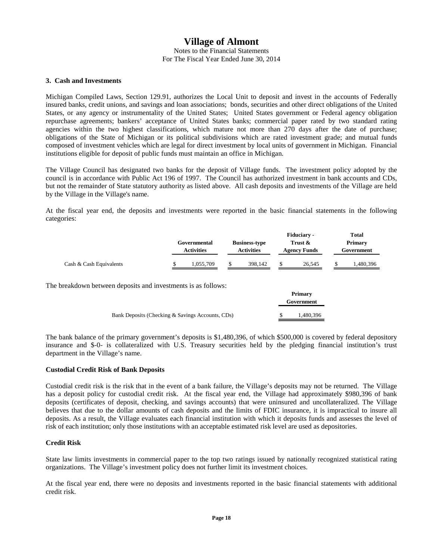Notes to the Financial Statements For The Fiscal Year Ended June 30, 2014

#### **3. Cash and Investments**

Michigan Compiled Laws, Section 129.91, authorizes the Local Unit to deposit and invest in the accounts of Federally insured banks, credit unions, and savings and loan associations; bonds, securities and other direct obligations of the United States, or any agency or instrumentality of the United States; United States government or Federal agency obligation repurchase agreements; bankers' acceptance of United States banks; commercial paper rated by two standard rating agencies within the two highest classifications, which mature not more than 270 days after the date of purchase; obligations of the State of Michigan or its political subdivisions which are rated investment grade; and mutual funds composed of investment vehicles which are legal for direct investment by local units of government in Michigan. Financial institutions eligible for deposit of public funds must maintain an office in Michigan.

The Village Council has designated two banks for the deposit of Village funds. The investment policy adopted by the council is in accordance with Public Act 196 of 1997. The Council has authorized investment in bank accounts and CDs, but not the remainder of State statutory authority as listed above. All cash deposits and investments of the Village are held by the Village in the Village's name.

At the fiscal year end, the deposits and investments were reported in the basic financial statements in the following categories:

|                         | Governmental<br><b>Activities</b> |  | <b>Business-type</b><br><b>Activities</b> |  | <b>Fiduciary</b> -<br>Trust $\&$<br><b>Agency Funds</b> |  | <b>Total</b><br><b>Primary</b><br>Government |  |
|-------------------------|-----------------------------------|--|-------------------------------------------|--|---------------------------------------------------------|--|----------------------------------------------|--|
| Cash & Cash Equivalents | 1.055.709                         |  | 398.142                                   |  | 26.545                                                  |  | 1,480,396                                    |  |

The breakdown between deposits and investments is as follows:

|                                                  | Primary    |  |
|--------------------------------------------------|------------|--|
|                                                  | Government |  |
| Bank Deposits (Checking & Savings Accounts, CDs) | 1.480.396  |  |

The bank balance of the primary government's deposits is \$1,480,396, of which \$500,000 is covered by federal depository insurance and \$-0- is collateralized with U.S. Treasury securities held by the pledging financial institution's trust department in the Village's name.

#### **Custodial Credit Risk of Bank Deposits**

Custodial credit risk is the risk that in the event of a bank failure, the Village's deposits may not be returned. The Village has a deposit policy for custodial credit risk. At the fiscal year end, the Village had approximately \$980,396 of bank deposits (certificates of deposit, checking, and savings accounts) that were uninsured and uncollateralized. The Village believes that due to the dollar amounts of cash deposits and the limits of FDIC insurance, it is impractical to insure all deposits. As a result, the Village evaluates each financial institution with which it deposits funds and assesses the level of risk of each institution; only those institutions with an acceptable estimated risk level are used as depositories.

#### **Credit Risk**

State law limits investments in commercial paper to the top two ratings issued by nationally recognized statistical rating organizations. The Village's investment policy does not further limit its investment choices.

At the fiscal year end, there were no deposits and investments reported in the basic financial statements with additional credit risk.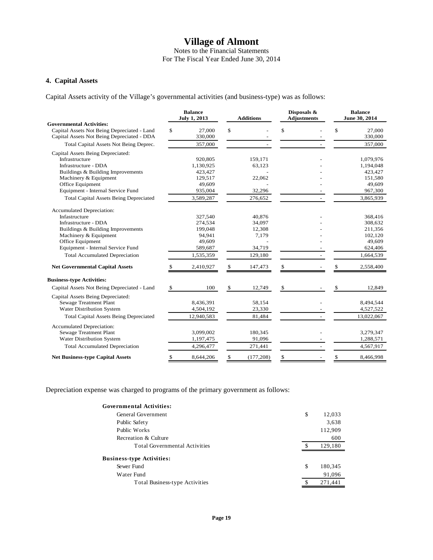Notes to the Financial Statements For The Fiscal Year Ended June 30, 2014

#### **4. Capital Assets**

Capital Assets activity of the Village's governmental activities (and business-type) was as follows:

|                                               |              | <b>Balance</b><br>July 1, 2013 | <b>Additions</b> | Disposals &<br><b>Adjustments</b> | <b>Balance</b><br>June 30, 2014 |            |
|-----------------------------------------------|--------------|--------------------------------|------------------|-----------------------------------|---------------------------------|------------|
| <b>Governmental Activities:</b>               |              |                                |                  |                                   |                                 |            |
| Capital Assets Not Being Depreciated - Land   | $\mathbb{S}$ | 27,000                         | \$               | \$                                | \$                              | 27.000     |
| Capital Assets Not Being Depreciated - DDA    |              | 330,000                        |                  |                                   |                                 | 330,000    |
| Total Capital Assets Not Being Deprec.        |              | 357,000                        |                  |                                   |                                 | 357,000    |
| Capital Assets Being Depreciated:             |              |                                |                  |                                   |                                 |            |
| Infrastructure                                |              | 920,805                        | 159,171          |                                   |                                 | 1,079,976  |
| Infrastructure - DDA                          |              | 1,130,925                      | 63,123           |                                   |                                 | 1,194,048  |
| Buildings & Building Improvements             |              | 423,427                        |                  |                                   |                                 | 423,427    |
| Machinery & Equipment                         |              | 129,517                        | 22,062           |                                   |                                 | 151,580    |
| Office Equipment                              |              | 49,609                         |                  |                                   |                                 | 49,609     |
| Equipment - Internal Service Fund             |              | 935,004                        | 32,296           |                                   |                                 | 967,300    |
| <b>Total Capital Assets Being Depreciated</b> |              | 3,589,287                      | 276,652          |                                   |                                 | 3,865,939  |
| Accumulated Depreciation:                     |              |                                |                  |                                   |                                 |            |
| Infastructure                                 |              | 327,540                        | 40,876           |                                   |                                 | 368,416    |
| Infrastructure - DDA                          |              | 274,534                        | 34,097           |                                   |                                 | 308,632    |
| Buildings & Building Improvements             |              | 199,048                        | 12,308           |                                   |                                 | 211,356    |
| Machinery & Equipment                         |              | 94,941                         | 7,179            |                                   |                                 | 102,120    |
| Office Equipment                              |              | 49,609                         |                  |                                   |                                 | 49,609     |
| Equipment - Internal Service Fund             |              | 589,687                        | 34,719           |                                   |                                 | 624,406    |
| <b>Total Accumulated Depreciation</b>         |              | 1,535,359                      | 129,180          |                                   |                                 | 1,664,539  |
| <b>Net Governmental Capital Assets</b>        |              | 2,410,927                      | \$<br>147,473    |                                   |                                 | 2,558,400  |
| <b>Business-type Activities:</b>              |              |                                |                  |                                   |                                 |            |
| Capital Assets Not Being Depreciated - Land   | $\mathbb{S}$ | 100                            | \$<br>12,749     | \$                                | \$                              | 12,849     |
| Capital Assets Being Depreciated:             |              |                                |                  |                                   |                                 |            |
| Sewage Treatment Plant                        |              | 8,436,391                      | 58,154           |                                   |                                 | 8,494,544  |
| <b>Water Distribution System</b>              |              | 4,504,192                      | 23,330           |                                   |                                 | 4,527,522  |
| <b>Total Capital Assets Being Depreciated</b> |              | 12,940,583                     | 81,484           |                                   |                                 | 13,022,067 |
| Accumulated Depreciation:                     |              |                                |                  |                                   |                                 |            |
| Sewage Treatment Plant                        |              | 3,099,002                      | 180,345          |                                   |                                 | 3,279,347  |
| Water Distribution System                     |              | 1,197,475                      | 91,096           |                                   |                                 | 1,288,571  |
| <b>Total Accumulated Depreciation</b>         |              | 4,296,477                      | 271,441          |                                   |                                 | 4,567,917  |
| <b>Net Business-type Capital Assets</b>       | \$           | 8,644,206                      | \$<br>(177, 208) | \$                                | \$                              | 8,466,998  |

Depreciation expense was charged to programs of the primary government as follows:

| <b>Governmental Activities:</b>       |               |  |
|---------------------------------------|---------------|--|
| General Government                    | \$<br>12,033  |  |
| Public Safety                         | 3,638         |  |
| Public Works                          | 112,909       |  |
| Recreation & Culture                  | 600           |  |
| <b>Total Governmental Activities</b>  | 129,180       |  |
| <b>Business-type Activities:</b>      |               |  |
| Sewer Fund                            | \$<br>180,345 |  |
| Water Fund                            | 91,096        |  |
| <b>Total Business-type Activities</b> | 271,441       |  |
|                                       |               |  |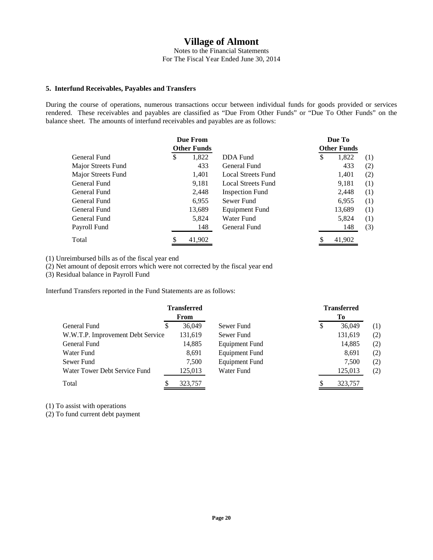Notes to the Financial Statements For The Fiscal Year Ended June 30, 2014

#### **5. Interfund Receivables, Payables and Transfers**

During the course of operations, numerous transactions occur between individual funds for goods provided or services rendered. These receivables and payables are classified as "Due From Other Funds" or "Due To Other Funds" on the balance sheet. The amounts of interfund receivables and payables are as follows:

|                    |   | Due From           |                           | Due To             |     |  |
|--------------------|---|--------------------|---------------------------|--------------------|-----|--|
|                    |   | <b>Other Funds</b> |                           | <b>Other Funds</b> |     |  |
| General Fund       | S | 1,822              | DDA Fund                  | \$<br>1,822        | (1) |  |
| Major Streets Fund |   | 433                | General Fund              | 433                | (2) |  |
| Major Streets Fund |   | 1,401              | <b>Local Streets Fund</b> | 1,401              | (2) |  |
| General Fund       |   | 9,181              | <b>Local Streets Fund</b> | 9,181              | (1) |  |
| General Fund       |   | 2,448              | <b>Inspection Fund</b>    | 2,448              | (1) |  |
| General Fund       |   | 6,955              | Sewer Fund                | 6.955              | (1) |  |
| General Fund       |   | 13,689             | Equipment Fund            | 13,689             | (1) |  |
| General Fund       |   | 5,824              | Water Fund                | 5,824              | (1) |  |
| Payroll Fund       |   | 148                | General Fund              | 148                | (3) |  |
| Total              |   | 41,902             |                           | 41,902             |     |  |

(1) Unreimbursed bills as of the fiscal year end

(2) Net amount of deposit errors which were not corrected by the fiscal year end

(3) Residual balance in Payroll Fund

Interfund Transfers reported in the Fund Statements are as follows:

|                                   | <b>Transferred</b> |                       | <b>Transferred</b> |         |     |  |  |
|-----------------------------------|--------------------|-----------------------|--------------------|---------|-----|--|--|
|                                   | From               |                       |                    | Tо      |     |  |  |
| General Fund                      | 36,049<br>S        | Sewer Fund            | S                  | 36,049  | (1) |  |  |
| W.W.T.P. Improvement Debt Service | 131,619            | Sewer Fund            |                    | 131,619 | (2) |  |  |
| General Fund                      | 14,885             | <b>Equipment Fund</b> |                    | 14,885  | (2) |  |  |
| Water Fund                        | 8,691              | <b>Equipment Fund</b> |                    | 8,691   | (2) |  |  |
| Sewer Fund                        | 7,500              | <b>Equipment Fund</b> |                    | 7,500   | (2) |  |  |
| Water Tower Debt Service Fund     | 125,013            | Water Fund            |                    | 125,013 | (2) |  |  |
| Total                             | 323,757            |                       |                    | 323,757 |     |  |  |

(1) To assist with operations

(2) To fund current debt payment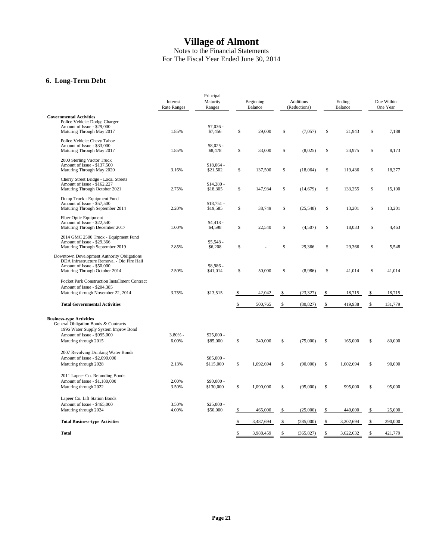Notes to the Financial Statements For The Fiscal Year Ended June 30, 2014

### **6. Long-Term Debt**

|                                                                                                                                                         | Principal<br>Maturity<br>Interest<br><b>Rate Ranges</b><br>Ranges |                          | Beginning<br>Balance |           | <b>Additions</b><br>(Reductions) |            | Ending<br>Balance |           | Due Within<br>One Year            |         |
|---------------------------------------------------------------------------------------------------------------------------------------------------------|-------------------------------------------------------------------|--------------------------|----------------------|-----------|----------------------------------|------------|-------------------|-----------|-----------------------------------|---------|
| <b>Governmental Activities</b><br>Police Vehicle: Dodge Charger                                                                                         |                                                                   |                          |                      |           |                                  |            |                   |           |                                   |         |
| Amount of Issue - \$29,000<br>Maturing Through May 2017                                                                                                 | 1.85%                                                             | $$7,036 -$<br>\$7,456    | \$                   | 29,000    | \$                               | (7,057)    | \$                | 21,943    | \$                                | 7,188   |
| Police Vehicle: Chevy Tahoe<br>Amount of Issue - \$33,000<br>Maturing Through May 2017                                                                  | 1.85%                                                             | $$8,025 -$<br>\$8,478    | S                    | 33,000    | S                                | (8,025)    | \$                | 24,975    | \$                                | 8,173   |
| 2000 Sterling Vactor Truck<br>Amount of Issue - \$137,500<br>Maturing Through May 2020                                                                  | 3.16%                                                             | $$18,064$ -<br>\$21,502  | $\mathbb{S}$         | 137,500   | $\mathbb S$                      | (18,064)   | \$                | 119,436   | \$                                | 18,377  |
| Cherry Street Bridge - Local Streets<br>Amount of Issue - \$162,227<br>Maturing Through October 2021                                                    | 2.75%                                                             | $$14,280$ -<br>\$18,305  | S                    | 147,934   | S                                | (14, 679)  | $\mathbb S$       | 133,255   | \$                                | 15,100  |
| Dump Truck - Equipment Fund<br>Amount of Issue - \$57,500<br>Maturing Through September 2014                                                            | 2.20%                                                             | $$18,751$ -<br>\$19,585  | $\mathbb{S}$         | 38,749    | \$                               | (25, 548)  | $\mathbb{S}$      | 13,201    | \$                                | 13,201  |
| Fiber Optic Equipment<br>Amount of Issue - \$22,540<br>Maturing Through December 2017                                                                   | 1.00%                                                             | $$4.418 -$<br>\$4,598    | \$                   | 22,540    | S                                | (4,507)    | \$                | 18,033    | \$                                | 4,463   |
| 2014 GMC 2500 Truck - Equipment Fund<br>Amount of Issue - \$29,366<br>Maturing Through September 2019                                                   | 2.85%                                                             | $$5,548 -$<br>\$6,208    | $\mathbb S$          |           | S                                | 29,366     | $\mathbb S$       | 29,366    | \$                                | 5,548   |
| Downtown Development Authority Obligations<br>DDA Infrastructure Removal - Old Fire Hall<br>Amount of Issue - \$50,000<br>Maturing Through October 2014 | 2.50%                                                             | $$8.986-$<br>\$41,014    | \$                   | 50,000    | $\mathbb{S}$                     | (8,986)    | \$                | 41,014    | \$                                | 41,014  |
| Pocket Park Construction Installment Contract<br>Amount of Issue - \$204,385<br>Maturing through November 22, 2014                                      | 3.75%                                                             | \$13,515                 | \$                   | 42,042    | \$                               | (23, 327)  | \$                | 18,715    | $\pmb{\mathbb{S}}$                | 18,715  |
| <b>Total Governmental Activities</b>                                                                                                                    |                                                                   |                          | S                    | 500,765   | \$                               | (80, 827)  | \$                | 419,938   | $\frac{\mathcal{S}}{\mathcal{S}}$ | 131,779 |
| <b>Business-type Activities</b><br>General Obligation Bonds & Contracts<br>1996 Water Supply System Improv Bond                                         |                                                                   |                          |                      |           |                                  |            |                   |           |                                   |         |
| Amount of Issue - \$995,000<br>Maturing through 2015                                                                                                    | $3.80%$ -<br>6.00%                                                | $$25,000 -$<br>\$85,000  | \$                   | 240,000   | \$                               | (75,000)   | \$                | 165,000   | \$                                | 80,000  |
| 2007 Revolving Drinking Water Bonds<br>Amount of Issue - \$2,090,000<br>Maturing through 2028                                                           | 2.13%                                                             | $$85,000 -$<br>\$115,000 | \$                   | 1,692,694 | \$                               | (90,000)   | \$                | 1,602,694 | \$                                | 90,000  |
| 2011 Lapeer Co. Refunding Bonds<br>Amount of Issue - \$1,180,000                                                                                        | 2.00%                                                             | $$90,000 -$              |                      |           |                                  |            |                   |           |                                   |         |
| Maturing through 2022                                                                                                                                   | 3.50%                                                             | \$130,000                | \$                   | 1,090,000 | \$                               | (95,000)   | \$                | 995,000   | \$                                | 95,000  |
| Lapeer Co. Lift Station Bonds<br>Amount of Issue - \$465,000<br>Maturing through 2024                                                                   | 3.50%<br>4.00%                                                    | $$25,000 -$<br>\$50,000  | \$                   | 465,000   | \$                               | (25,000)   | \$                | 440,000   | \$                                | 25,000  |
| <b>Total Business-type Activities</b>                                                                                                                   |                                                                   |                          | \$                   | 3,487,694 | \$                               | (285,000)  | \$                | 3,202,694 | \$                                | 290,000 |
| <b>Total</b>                                                                                                                                            |                                                                   |                          | $\mathbb{S}$         | 3,988,459 | \$                               | (365, 827) | \$                | 3,622,632 | \$                                | 421,779 |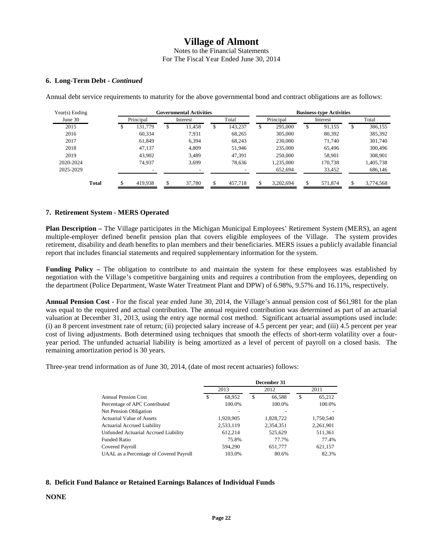Notes to the Financial Statements For The Fiscal Year Ended June 30, 2014

#### **6. Long-Term Debt -** *Continued*

Annual debt service requirements to maturity for the above governmental bond and contract obligations are as follows:

| Year(s) Ending |   |           | <b>Governmental Activities</b> |   |         | <b>Business-type Activities</b> |           |    |         |    |           |  |           |  |          |  |       |
|----------------|---|-----------|--------------------------------|---|---------|---------------------------------|-----------|----|---------|----|-----------|--|-----------|--|----------|--|-------|
| June 30        |   | Principal | Interest                       |   | Total   |                                 |           |    |         |    |           |  | Principal |  | Interest |  | Total |
| 2015           | D | 131,779   | \$<br>11,458                   | S | 143,237 | \$                              | 295,000   | \$ | 91,155  | \$ | 386,155   |  |           |  |          |  |       |
| 2016           |   | 60.334    | 7,931                          |   | 68,265  |                                 | 305,000   |    | 80,392  |    | 385,392   |  |           |  |          |  |       |
| 2017           |   | 61.849    | 6,394                          |   | 68,243  |                                 | 230,000   |    | 71.740  |    | 301,740   |  |           |  |          |  |       |
| 2018           |   | 47,137    | 4,809                          |   | 51,946  |                                 | 235,000   |    | 65.496  |    | 300,496   |  |           |  |          |  |       |
| 2019           |   | 43,902    | 3.489                          |   | 47,391  |                                 | 250,000   |    | 58,901  |    | 308,901   |  |           |  |          |  |       |
| 2020-2024      |   | 74,937    | 3,699                          |   | 78,636  |                                 | 1,235,000 |    | 170,738 |    | 1,405,738 |  |           |  |          |  |       |
| 2025-2029      |   |           |                                |   |         |                                 | 652,694   |    | 33,452  |    | 686,146   |  |           |  |          |  |       |
| <b>Total</b>   |   | 419,938   | \$<br>37,780                   |   | 457.718 | \$                              | 3.202.694 | \$ | 571.874 | \$ | 3,774,568 |  |           |  |          |  |       |

#### **7. Retirement System - MERS Operated**

**Plan Description –** The Village participates in the Michigan Municipal Employees' Retirement System (MERS), an agent multiple-employer defined benefit pension plan that covers eligible employees of the Village. The system provides retirement, disability and death benefits to plan members and their beneficiaries. MERS issues a publicly available financial report that includes financial statements and required supplementary information for the system.

**Funding Policy** – The obligation to contribute to and maintain the system for these employees was established by negotiation with the Village's competitive bargaining units and requires a contribution from the employees, depending on the department (Police Department, Waste Water Treatment Plant and DPW) of 6.98%, 9.57% and 16.11%, respectively.

**Annual Pension Cost -** For the fiscal year ended June 30, 2014, the Village's annual pension cost of \$61,981 for the plan was equal to the required and actual contribution. The annual required contribution was determined as part of an actuarial valuation at December 31, 2013, using the entry age normal cost method. Significant actuarial assumptions used include: (i) an 8 percent investment rate of return; (ii) projected salary increase of 4.5 percent per year; and (iii) 4.5 percent per year cost of living adjustments. Both determined using techniques that smooth the effects of short-term volatility over a fouryear period. The unfunded actuarial liability is being amortized as a level of percent of payroll on a closed basis. The remaining amortization period is 30 years.

Three-year trend information as of June 30, 2014, (date of most recent actuaries) follows:

|                                         | December 31 |           |    |           |      |           |  |  |  |
|-----------------------------------------|-------------|-----------|----|-----------|------|-----------|--|--|--|
|                                         |             | 2013      |    | 2012      | 2011 |           |  |  |  |
| <b>Annual Pension Cost</b>              | \$          | 68.952    | \$ | 66,588    | S    | 65,212    |  |  |  |
| Percentage of APC Contributed           |             | 100.0%    |    | 100.0%    |      | 100.0%    |  |  |  |
| Net Pension Obligation                  |             |           |    |           |      |           |  |  |  |
| <b>Actuarial Value of Assets</b>        |             | 1,920,905 |    | 1,828,722 |      | 1,750,540 |  |  |  |
| <b>Actuarial Accrued Liability</b>      |             | 2,533,119 |    | 2,354,351 |      | 2,261,901 |  |  |  |
| Unfunded Actuarial Accrued Liability    |             | 612,214   |    | 525,629   |      | 511,361   |  |  |  |
| <b>Funded Ratio</b>                     |             | 75.8%     |    | 77.7%     |      | 77.4%     |  |  |  |
| Covered Payroll                         |             | 594.290   |    | 651,777   |      | 621,157   |  |  |  |
| UAAL as a Percentage of Covered Payroll |             | 103.0%    |    | 80.6%     |      | 82.3%     |  |  |  |

#### **8. Deficit Fund Balance or Retained Earnings Balances of Individual Funds**

#### **NONE**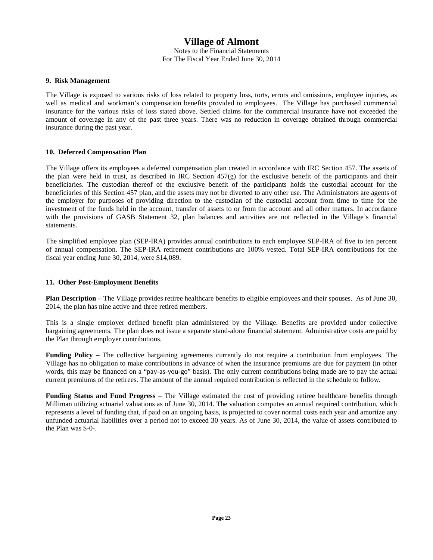Notes to the Financial Statements For The Fiscal Year Ended June 30, 2014

#### **9. Risk Management**

The Village is exposed to various risks of loss related to property loss, torts, errors and omissions, employee injuries, as well as medical and workman's compensation benefits provided to employees. The Village has purchased commercial insurance for the various risks of loss stated above. Settled claims for the commercial insurance have not exceeded the amount of coverage in any of the past three years. There was no reduction in coverage obtained through commercial insurance during the past year.

#### **10. Deferred Compensation Plan**

The Village offers its employees a deferred compensation plan created in accordance with IRC Section 457. The assets of the plan were held in trust, as described in IRC Section 457(g) for the exclusive benefit of the participants and their beneficiaries. The custodian thereof of the exclusive benefit of the participants holds the custodial account for the beneficiaries of this Section 457 plan, and the assets may not be diverted to any other use. The Administrators are agents of the employer for purposes of providing direction to the custodian of the custodial account from time to time for the investment of the funds held in the account, transfer of assets to or from the account and all other matters. In accordance with the provisions of GASB Statement 32, plan balances and activities are not reflected in the Village's financial statements.

The simplified employee plan (SEP-IRA) provides annual contributions to each employee SEP-IRA of five to ten percent of annual compensation. The SEP-IRA retirement contributions are 100% vested. Total SEP-IRA contributions for the fiscal year ending June 30, 2014, were \$14,089.

#### **11. Other Post-Employment Benefits**

**Plan Description –** The Village provides retiree healthcare benefits to eligible employees and their spouses. As of June 30, 2014, the plan has nine active and three retired members.

This is a single employer defined benefit plan administered by the Village. Benefits are provided under collective bargaining agreements. The plan does not issue a separate stand-alone financial statement. Administrative costs are paid by the Plan through employer contributions.

**Funding Policy –** The collective bargaining agreements currently do not require a contribution from employees. The Village has no obligation to make contributions in advance of when the insurance premiums are due for payment (in other words, this may be financed on a "pay-as-you-go" basis). The only current contributions being made are to pay the actual current premiums of the retirees. The amount of the annual required contribution is reflected in the schedule to follow.

**Funding Status and Fund Progress** – The Village estimated the cost of providing retiree healthcare benefits through Milliman utilizing actuarial valuations as of June 30, 2014. The valuation computes an annual required contribution, which represents a level of funding that, if paid on an ongoing basis, is projected to cover normal costs each year and amortize any unfunded actuarial liabilities over a period not to exceed 30 years. As of June 30, 2014, the value of assets contributed to the Plan was \$-0-.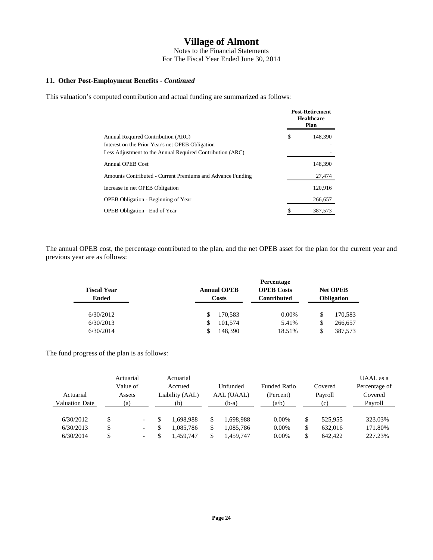Notes to the Financial Statements For The Fiscal Year Ended June 30, 2014

#### **11. Other Post-Employment Benefits -** *Continued*

This valuation's computed contribution and actual funding are summarized as follows:

|                                                                                                                                                     | <b>Post-Retirement</b><br><b>Healthcare</b><br>Plan |         |  |  |  |
|-----------------------------------------------------------------------------------------------------------------------------------------------------|-----------------------------------------------------|---------|--|--|--|
| Annual Required Contribution (ARC)<br>Interest on the Prior Year's net OPEB Obligation<br>Less Adjustment to the Annual Required Contribution (ARC) | \$                                                  | 148.390 |  |  |  |
| <b>Annual OPEB Cost</b>                                                                                                                             |                                                     | 148,390 |  |  |  |
| Amounts Contributed - Current Premiums and Advance Funding                                                                                          |                                                     | 27,474  |  |  |  |
| Increase in net OPEB Obligation                                                                                                                     |                                                     | 120,916 |  |  |  |
| <b>OPEB</b> Obligation - Beginning of Year                                                                                                          |                                                     | 266,657 |  |  |  |
| <b>OPEB</b> Obligation - End of Year                                                                                                                |                                                     | 387,573 |  |  |  |

The annual OPEB cost, the percentage contributed to the plan, and the net OPEB asset for the plan for the current year and previous year are as follows:

|                                    | Percentage                  |                                         |                                      |  |  |  |  |  |  |  |
|------------------------------------|-----------------------------|-----------------------------------------|--------------------------------------|--|--|--|--|--|--|--|
| <b>Fiscal Year</b><br><b>Ended</b> | <b>Annual OPEB</b><br>Costs | <b>OPEB</b> Costs<br><b>Contributed</b> | <b>Net OPEB</b><br><b>Obligation</b> |  |  |  |  |  |  |  |
| 6/30/2012                          | 170.583                     | $0.00\%$                                | 170,583                              |  |  |  |  |  |  |  |
| 6/30/2013                          | 101.574                     | 5.41%                                   | 266,657                              |  |  |  |  |  |  |  |
| 6/30/2014                          | 148.390                     | 18.51%                                  | 387,573                              |  |  |  |  |  |  |  |

The fund progress of the plan is as follows:

|                       | Actuarial |                          | Actuarial       |            |                     |               | UAAL as a     |
|-----------------------|-----------|--------------------------|-----------------|------------|---------------------|---------------|---------------|
|                       | Value of  |                          | Accrued         | Unfunded   | <b>Funded Ratio</b> | Covered       | Percentage of |
| Actuarial             | Assets    |                          | Liability (AAL) | AAL (UAAL) | (Percent)           | Payroll       | Covered       |
| <b>Valuation Date</b> | (a)       |                          | (b)             | $(b-a)$    | (a/b)               | (c)           | Payroll       |
|                       |           |                          |                 |            |                     |               |               |
| 6/30/2012             | \$        | -                        | 1.698.988       | 1.698.988  | $0.00\%$            | \$<br>525,955 | 323.03%       |
| 6/30/2013             | \$        | $\overline{\phantom{a}}$ | 1.085.786       | 1,085,786  | 0.00%               | \$<br>632,016 | 171.80%       |
| 6/30/2014             | \$        | -                        | 1.459.747       | 1,459,747  | 0.00%               | \$<br>642,422 | 227.23%       |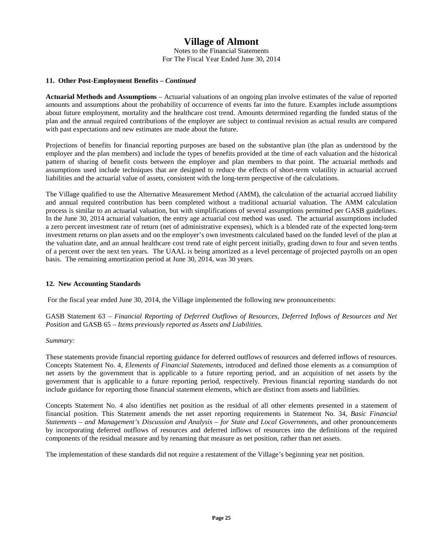Notes to the Financial Statements For The Fiscal Year Ended June 30, 2014

#### **11. Other Post-Employment Benefits –** *Continued*

**Actuarial Methods and Assumptions** – Actuarial valuations of an ongoing plan involve estimates of the value of reported amounts and assumptions about the probability of occurrence of events far into the future. Examples include assumptions about future employment, mortality and the healthcare cost trend. Amounts determined regarding the funded status of the plan and the annual required contributions of the employer are subject to continual revision as actual results are compared with past expectations and new estimates are made about the future.

Projections of benefits for financial reporting purposes are based on the substantive plan (the plan as understood by the employer and the plan members) and include the types of benefits provided at the time of each valuation and the historical pattern of sharing of benefit costs between the employer and plan members to that point. The actuarial methods and assumptions used include techniques that are designed to reduce the effects of short-term volatility in actuarial accrued liabilities and the actuarial value of assets, consistent with the long-term perspective of the calculations.

The Village qualified to use the Alternative Measurement Method (AMM), the calculation of the actuarial accrued liability and annual required contribution has been completed without a traditional actuarial valuation. The AMM calculation process is similar to an actuarial valuation, but with simplifications of several assumptions permitted per GASB guidelines. In the June 30, 2014 actuarial valuation, the entry age actuarial cost method was used. The actuarial assumptions included a zero percent investment rate of return (net of administrative expenses), which is a blended rate of the expected long-term investment returns on plan assets and on the employer's own investments calculated based on the funded level of the plan at the valuation date, and an annual healthcare cost trend rate of eight percent initially, grading down to four and seven tenths of a percent over the next ten years. The UAAL is being amortized as a level percentage of projected payrolls on an open basis. The remaining amortization period at June 30, 2014, was 30 years.

#### **12. New Accounting Standards**

For the fiscal year ended June 30, 2014, the Village implemented the following new pronouncements:

GASB Statement 63 – *Financial Reporting of Deferred Outflows of Resources, Deferred Inflows of Resources and Net Position* and GASB 65 – *Items previously reported as Assets and Liabilities.*

#### *Summary:*

These statements provide financial reporting guidance for deferred outflows of resources and deferred inflows of resources. Concepts Statement No. 4, *Elements of Financial Statements,* introduced and defined those elements as a consumption of net assets by the government that is applicable to a future reporting period, and an acquisition of net assets by the government that is applicable to a future reporting period, respectively. Previous financial reporting standards do not include guidance for reporting those financial statement elements, which are distinct from assets and liabilities.

Concepts Statement No. 4 also identifies net position as the residual of all other elements presented in a statement of financial position. This Statement amends the net asset reporting requirements in Statement No. 34, *Basic Financial Statements – and Management's Discussion and Analysis – for State and Local Governments*, and other pronouncements by incorporating deferred outflows of resources and deferred inflows of resources into the definitions of the required components of the residual measure and by renaming that measure as net position, rather than net assets.

The implementation of these standards did not require a restatement of the Village's beginning year net position.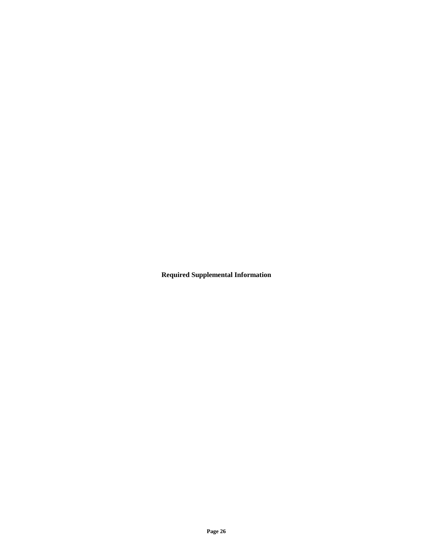**Required Supplemental Information**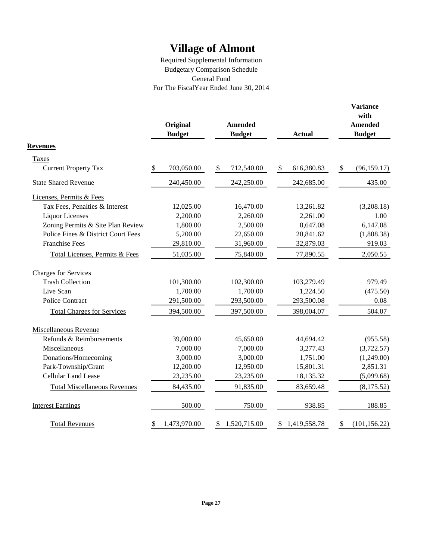General Fund For The FiscalYear Ended June 30, 2014 Required Supplemental Information Budgetary Comparison Schedule

|                                     | Original<br><b>Budget</b> | <b>Amended</b><br><b>Budget</b> |                           | <b>Actual</b> |        | <b>Variance</b><br>with<br><b>Amended</b><br><b>Budget</b> |
|-------------------------------------|---------------------------|---------------------------------|---------------------------|---------------|--------|------------------------------------------------------------|
| <b>Revenues</b>                     |                           |                                 |                           |               |        |                                                            |
| Taxes                               |                           |                                 |                           |               |        |                                                            |
| <b>Current Property Tax</b>         | \$<br>703,050.00          | \$<br>712,540.00                | $\boldsymbol{\mathsf{S}}$ | 616,380.83    | $\$\,$ | (96, 159.17)                                               |
| <b>State Shared Revenue</b>         | 240,450.00                | 242,250.00                      |                           | 242,685.00    |        | 435.00                                                     |
| Licenses, Permits & Fees            |                           |                                 |                           |               |        |                                                            |
| Tax Fees, Penalties & Interest      | 12,025.00                 | 16,470.00                       |                           | 13,261.82     |        | (3,208.18)                                                 |
| <b>Liquor Licenses</b>              | 2,200.00                  | 2,260.00                        |                           | 2,261.00      |        | 1.00                                                       |
| Zoning Permits & Site Plan Review   | 1,800.00                  | 2,500.00                        |                           | 8,647.08      |        | 6,147.08                                                   |
| Police Fines & District Court Fees  | 5,200.00                  | 22,650.00                       |                           | 20,841.62     |        | (1,808.38)                                                 |
| <b>Franchise Fees</b>               | 29,810.00                 | 31,960.00                       |                           | 32,879.03     |        | 919.03                                                     |
| Total Licenses, Permits & Fees      | 51,035.00                 | 75,840.00                       |                           | 77,890.55     |        | 2,050.55                                                   |
| <b>Charges for Services</b>         |                           |                                 |                           |               |        |                                                            |
| <b>Trash Collection</b>             | 101,300.00                | 102,300.00                      |                           | 103,279.49    |        | 979.49                                                     |
| Live Scan                           | 1,700.00                  | 1,700.00                        |                           | 1,224.50      |        | (475.50)                                                   |
| <b>Police Contract</b>              | 291,500.00                | 293,500.00                      |                           | 293,500.08    |        | 0.08                                                       |
| <b>Total Charges for Services</b>   | 394,500.00                | 397,500.00                      |                           | 398,004.07    |        | 504.07                                                     |
| Miscellaneous Revenue               |                           |                                 |                           |               |        |                                                            |
| Refunds & Reimbursements            | 39,000.00                 | 45,650.00                       |                           | 44,694.42     |        | (955.58)                                                   |
| Miscellaneous                       | 7,000.00                  | 7,000.00                        |                           | 3,277.43      |        | (3,722.57)                                                 |
| Donations/Homecoming                | 3,000.00                  | 3,000.00                        |                           | 1,751.00      |        | (1,249.00)                                                 |
| Park-Township/Grant                 | 12,200.00                 | 12,950.00                       |                           | 15,801.31     |        | 2,851.31                                                   |
| <b>Cellular Land Lease</b>          | 23,235.00                 | 23,235.00                       |                           | 18,135.32     |        | (5,099.68)                                                 |
| <b>Total Miscellaneous Revenues</b> | 84,435.00                 | 91,835.00                       |                           | 83,659.48     |        | (8, 175.52)                                                |
| <b>Interest Earnings</b>            | 500.00                    | 750.00                          |                           | 938.85        |        | 188.85                                                     |
| <b>Total Revenues</b>               | \$<br>1,473,970.00        | \$<br>1,520,715.00              | \$                        | 1,419,558.78  | \$     | (101, 156.22)                                              |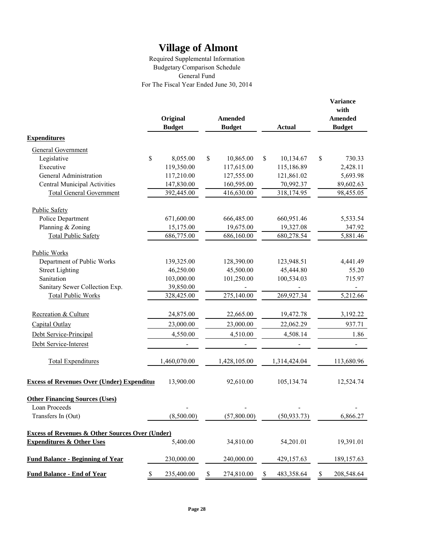Required Supplemental Information Budgetary Comparison Schedule General Fund For The Fiscal Year Ended June 30, 2014

|                                                            | Original<br><b>Budget</b> | <b>Amended</b><br><b>Budget</b> | <b>Actual</b>    | Variance<br>with<br><b>Amended</b><br><b>Budget</b> |
|------------------------------------------------------------|---------------------------|---------------------------------|------------------|-----------------------------------------------------|
| <b>Expenditures</b>                                        |                           |                                 |                  |                                                     |
| <b>General Government</b>                                  |                           |                                 |                  |                                                     |
| \$<br>Legislative                                          | 8,055.00                  | \$<br>10,865.00                 | \$<br>10,134.67  | \$<br>730.33                                        |
| Executive                                                  | 119,350.00                | 117,615.00                      | 115,186.89       | 2,428.11                                            |
| General Administration                                     | 117,210.00                | 127,555.00                      | 121,861.02       | 5,693.98                                            |
| Central Municipal Activities                               | 147,830.00                | 160,595.00                      | 70,992.37        | 89,602.63                                           |
| <b>Total General Government</b>                            | 392,445.00                | 416,630.00                      | 318,174.95       | 98,455.05                                           |
| <b>Public Safety</b>                                       |                           |                                 |                  |                                                     |
| Police Department                                          | 671,600.00                | 666,485.00                      | 660,951.46       | 5,533.54                                            |
| Planning & Zoning                                          | 15,175.00                 | 19,675.00                       | 19,327.08        | 347.92                                              |
| <b>Total Public Safety</b>                                 | 686,775.00                | 686,160.00                      | 680,278.54       | 5,881.46                                            |
| Public Works                                               |                           |                                 |                  |                                                     |
| Department of Public Works                                 | 139,325.00                | 128,390.00                      | 123,948.51       | 4,441.49                                            |
| <b>Street Lighting</b>                                     | 46,250.00                 | 45,500.00                       | 45,444.80        | 55.20                                               |
| Sanitation                                                 | 103,000.00                | 101,250.00                      | 100,534.03       | 715.97                                              |
| Sanitary Sewer Collection Exp.                             | 39,850.00                 |                                 |                  |                                                     |
| <b>Total Public Works</b>                                  | 328,425.00                | 275,140.00                      | 269,927.34       | 5,212.66                                            |
| Recreation & Culture                                       | 24,875.00                 | 22,665.00                       | 19,472.78        | 3,192.22                                            |
|                                                            |                           |                                 |                  | 937.71                                              |
| Capital Outlay                                             | 23,000.00                 | 23,000.00                       | 22,062.29        |                                                     |
| Debt Service-Principal                                     | 4,550.00                  | 4,510.00                        | 4,508.14         | 1.86                                                |
| Debt Service-Interest                                      |                           |                                 |                  |                                                     |
| <b>Total Expenditures</b>                                  | 1,460,070.00              | 1,428,105.00                    | 1,314,424.04     | 113,680.96                                          |
| <b>Excess of Revenues Over (Under) Expenditure</b>         | 13,900.00                 | 92,610.00                       | 105,134.74       | 12,524.74                                           |
| <b>Other Financing Sources (Uses)</b>                      |                           |                                 |                  |                                                     |
| Loan Proceeds                                              |                           |                                 |                  |                                                     |
| Transfers In (Out)                                         | (8,500.00)                | (57, 800.00)                    | (50, 933.73)     | 6,866.27                                            |
| <b>Excess of Revenues &amp; Other Sources Over (Under)</b> |                           |                                 |                  |                                                     |
| <b>Expenditures &amp; Other Uses</b>                       | 5,400.00                  | 34,810.00                       | 54,201.01        | 19,391.01                                           |
| <b>Fund Balance - Beginning of Year</b>                    | 230,000.00                | 240,000.00                      | 429,157.63       | 189, 157.63                                         |
| <b>Fund Balance - End of Year</b><br>\$                    | 235,400.00                | \$<br>274,810.00                | \$<br>483,358.64 | $\mathbb S$<br>208,548.64                           |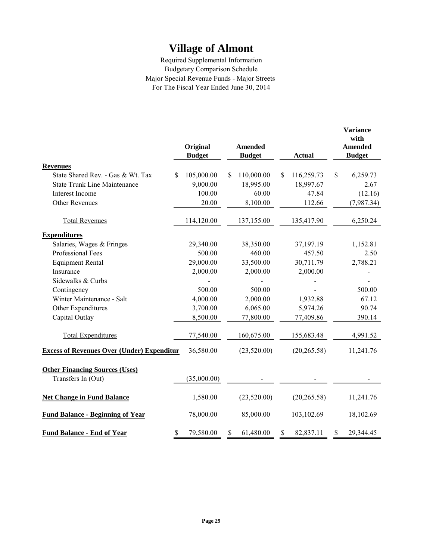Budgetary Comparison Schedule Major Special Revenue Funds - Major Streets For The Fiscal Year Ended June 30, 2014 Required Supplemental Information

|                                                   | Original<br><b>Budget</b> | <b>Amended</b><br><b>Budget</b> | <b>Actual</b>    | <b>Variance</b><br>with<br><b>Amended</b><br><b>Budget</b> |
|---------------------------------------------------|---------------------------|---------------------------------|------------------|------------------------------------------------------------|
| <b>Revenues</b>                                   |                           |                                 |                  |                                                            |
| State Shared Rev. - Gas & Wt. Tax                 | 105,000.00<br>\$          | 110,000.00<br>\$                | 116,259.73<br>\$ | \$<br>6,259.73                                             |
| <b>State Trunk Line Maintenance</b>               | 9,000.00                  | 18,995.00                       | 18,997.67        | 2.67                                                       |
| <b>Interest Income</b>                            | 100.00                    | 60.00                           | 47.84            | (12.16)                                                    |
| Other Revenues                                    | 20.00                     | 8,100.00                        | 112.66           | (7,987.34)                                                 |
| <b>Total Revenues</b>                             | 114,120.00                | 137,155.00                      | 135,417.90       | 6,250.24                                                   |
| <b>Expenditures</b>                               |                           |                                 |                  |                                                            |
| Salaries, Wages & Fringes                         | 29,340.00                 | 38,350.00                       | 37,197.19        | 1,152.81                                                   |
| Professional Fees                                 | 500.00                    | 460.00                          | 457.50           | 2.50                                                       |
| <b>Equipment Rental</b>                           | 29,000.00                 | 33,500.00                       | 30,711.79        | 2,788.21                                                   |
| Insurance                                         | 2,000.00                  | 2,000.00                        | 2,000.00         |                                                            |
| Sidewalks & Curbs                                 |                           |                                 |                  |                                                            |
| Contingency                                       | 500.00                    | 500.00                          |                  | 500.00                                                     |
| Winter Maintenance - Salt                         | 4,000.00                  | 2,000.00                        | 1,932.88         | 67.12                                                      |
| Other Expenditures                                | 3,700.00                  | 6,065.00                        | 5,974.26         | 90.74                                                      |
| Capital Outlay                                    | 8,500.00                  | 77,800.00                       | 77,409.86        | 390.14                                                     |
| <b>Total Expenditures</b>                         | 77,540.00                 | 160,675.00                      | 155,683.48       | 4,991.52                                                   |
| <b>Excess of Revenues Over (Under) Expenditur</b> | 36,580.00                 | (23,520.00)                     | (20, 265.58)     | 11,241.76                                                  |
| <b>Other Financing Sources (Uses)</b>             |                           |                                 |                  |                                                            |
| Transfers In (Out)                                | (35,000.00)               |                                 |                  |                                                            |
| <b>Net Change in Fund Balance</b>                 | 1,580.00                  | (23,520.00)                     | (20, 265.58)     | 11,241.76                                                  |
| <b>Fund Balance - Beginning of Year</b>           | 78,000.00                 | 85,000.00                       | 103,102.69       | 18,102.69                                                  |
| <b>Fund Balance - End of Year</b>                 | \$<br>79,580.00           | 61,480.00<br>\$                 | 82,837.11<br>\$  | \$<br>29,344.45                                            |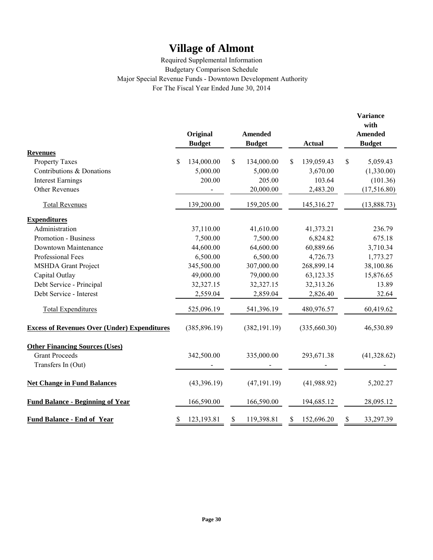Budgetary Comparison Schedule Major Special Revenue Funds - Downtown Development Authority For The Fiscal Year Ended June 30, 2014 Required Supplemental Information

|                                                                | Original<br><b>Budget</b> | <b>Amended</b><br><b>Budget</b> | <b>Actual</b>    | <b>Variance</b><br>with<br><b>Amended</b><br><b>Budget</b> |
|----------------------------------------------------------------|---------------------------|---------------------------------|------------------|------------------------------------------------------------|
| <b>Revenues</b>                                                |                           |                                 |                  |                                                            |
| <b>Property Taxes</b>                                          | \$<br>134,000.00          | \$<br>134,000.00                | \$<br>139,059.43 | \$<br>5,059.43                                             |
| Contributions & Donations                                      | 5,000.00                  | 5,000.00                        | 3,670.00         | (1,330.00)                                                 |
| <b>Interest Earnings</b>                                       | 200.00                    | 205.00                          | 103.64           | (101.36)                                                   |
| Other Revenues                                                 |                           | 20,000.00                       | 2,483.20         | (17,516.80)                                                |
| <b>Total Revenues</b>                                          | 139,200.00                | 159,205.00                      | 145,316.27       | (13,888.73)                                                |
| <b>Expenditures</b>                                            |                           |                                 |                  |                                                            |
| Administration                                                 | 37,110.00                 | 41,610.00                       | 41,373.21        | 236.79                                                     |
| Promotion - Business                                           | 7,500.00                  | 7,500.00                        | 6,824.82         | 675.18                                                     |
| Downtown Maintenance                                           | 44,600.00                 | 64,600.00                       | 60,889.66        | 3,710.34                                                   |
| Professional Fees                                              | 6,500.00                  | 6,500.00                        | 4,726.73         | 1,773.27                                                   |
| <b>MSHDA</b> Grant Project                                     | 345,500.00                | 307,000.00                      | 268,899.14       | 38,100.86                                                  |
| Capital Outlay                                                 | 49,000.00                 | 79,000.00                       | 63,123.35        | 15,876.65                                                  |
| Debt Service - Principal                                       | 32,327.15                 | 32,327.15                       | 32,313.26        | 13.89                                                      |
| Debt Service - Interest                                        | 2,559.04                  | 2,859.04                        | 2,826.40         | 32.64                                                      |
| <b>Total Expenditures</b>                                      | 525,096.19                | 541,396.19                      | 480,976.57       | 60,419.62                                                  |
| <b>Excess of Revenues Over (Under) Expenditures</b>            | (385, 896.19)             | (382, 191.19)                   | (335,660.30)     | 46,530.89                                                  |
| <b>Other Financing Sources (Uses)</b><br><b>Grant Proceeds</b> | 342,500.00                | 335,000.00                      | 293,671.38       | (41,328.62)                                                |
| Transfers In (Out)                                             |                           |                                 |                  |                                                            |
| <b>Net Change in Fund Balances</b>                             | (43,396.19)               | (47, 191.19)                    | (41,988.92)      | 5,202.27                                                   |
| <b>Fund Balance - Beginning of Year</b>                        | 166,590.00                | 166,590.00                      | 194,685.12       | 28,095.12                                                  |
| <b>Fund Balance - End of Year</b>                              | \$<br>123,193.81          | \$<br>119,398.81                | \$<br>152,696.20 | \$<br>33,297.39                                            |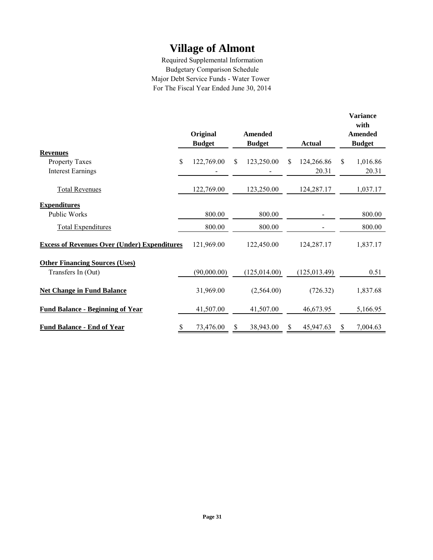Budgetary Comparison Schedule Major Debt Service Funds - Water Tower For The Fiscal Year Ended June 30, 2014 Required Supplemental Information

|                                                     |    | Original<br><b>Budget</b> |     | <b>Amended</b><br><b>Budget</b> | <b>Actual</b>    |     | <b>Variance</b><br>with<br><b>Amended</b><br><b>Budget</b> |
|-----------------------------------------------------|----|---------------------------|-----|---------------------------------|------------------|-----|------------------------------------------------------------|
| <b>Revenues</b>                                     |    |                           |     |                                 |                  |     |                                                            |
| <b>Property Taxes</b>                               | \$ | 122,769.00                | \$. | 123,250.00                      | \$<br>124,266.86 | \$. | 1,016.86                                                   |
| <b>Interest Earnings</b>                            |    |                           |     |                                 | 20.31            |     | 20.31                                                      |
| <b>Total Revenues</b>                               |    | 122,769.00                |     | 123,250.00                      | 124,287.17       |     | 1,037.17                                                   |
| <b>Expenditures</b>                                 |    |                           |     |                                 |                  |     |                                                            |
| Public Works                                        |    | 800.00                    |     | 800.00                          |                  |     | 800.00                                                     |
| <b>Total Expenditures</b>                           |    | 800.00                    |     | 800.00                          |                  |     | 800.00                                                     |
| <b>Excess of Revenues Over (Under) Expenditures</b> |    | 121,969.00                |     | 122,450.00                      | 124,287.17       |     | 1,837.17                                                   |
| <b>Other Financing Sources (Uses)</b>               |    |                           |     |                                 |                  |     |                                                            |
| Transfers In (Out)                                  |    | (90,000.00)               |     | (125, 014.00)                   | (125, 013.49)    |     | 0.51                                                       |
| <b>Net Change in Fund Balance</b>                   |    | 31,969.00                 |     | (2,564.00)                      | (726.32)         |     | 1,837.68                                                   |
| <b>Fund Balance - Beginning of Year</b>             |    | 41,507.00                 |     | 41,507.00                       | 46,673.95        |     | 5,166.95                                                   |
| <b>Fund Balance - End of Year</b>                   | S  | 73,476.00                 | \$  | 38,943.00                       | \$<br>45,947.63  |     | 7,004.63                                                   |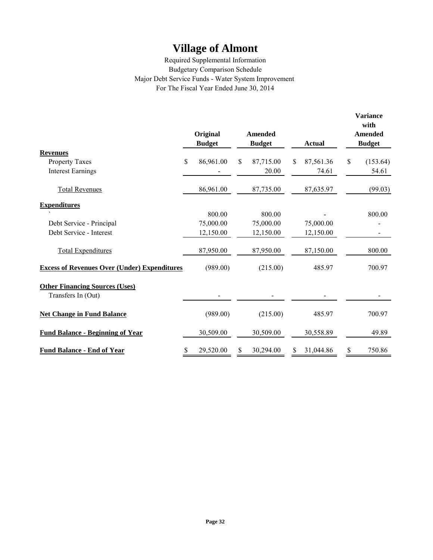Budgetary Comparison Schedule Major Debt Service Funds - Water System Improvement For The Fiscal Year Ended June 30, 2014 Required Supplemental Information

|                                                             | Original<br><b>Budget</b> |                    | Amended<br><b>Budget</b> | <b>Actual</b>   | <b>Variance</b><br>with<br><b>Amended</b><br><b>Budget</b> |
|-------------------------------------------------------------|---------------------------|--------------------|--------------------------|-----------------|------------------------------------------------------------|
| <b>Revenues</b>                                             |                           |                    |                          |                 |                                                            |
| Property Taxes                                              | \$<br>86,961.00           | $\mathbf{\hat{S}}$ | 87,715.00                | \$<br>87,561.36 | \$<br>(153.64)                                             |
| <b>Interest Earnings</b>                                    |                           |                    | 20.00                    | 74.61           | 54.61                                                      |
| <b>Total Revenues</b>                                       | 86,961.00                 |                    | 87,735.00                | 87,635.97       | (99.03)                                                    |
| <b>Expenditures</b>                                         |                           |                    |                          |                 |                                                            |
|                                                             | 800.00                    |                    | 800.00                   |                 | 800.00                                                     |
| Debt Service - Principal                                    | 75,000.00                 |                    | 75,000.00                | 75,000.00       |                                                            |
| Debt Service - Interest                                     | 12,150.00                 |                    | 12,150.00                | 12,150.00       |                                                            |
| <b>Total Expenditures</b>                                   | 87,950.00                 |                    | 87,950.00                | 87,150.00       | 800.00                                                     |
| <b>Excess of Revenues Over (Under) Expenditures</b>         | (989.00)                  |                    | (215.00)                 | 485.97          | 700.97                                                     |
| <b>Other Financing Sources (Uses)</b><br>Transfers In (Out) |                           |                    |                          |                 |                                                            |
| <b>Net Change in Fund Balance</b>                           | (989.00)                  |                    | (215.00)                 | 485.97          | 700.97                                                     |
| <b>Fund Balance - Beginning of Year</b>                     | 30,509.00                 |                    | 30,509.00                | 30,558.89       | 49.89                                                      |
| <b>Fund Balance - End of Year</b>                           | \$<br>29,520.00           | \$                 | 30,294.00                | \$<br>31,044.86 | \$<br>750.86                                               |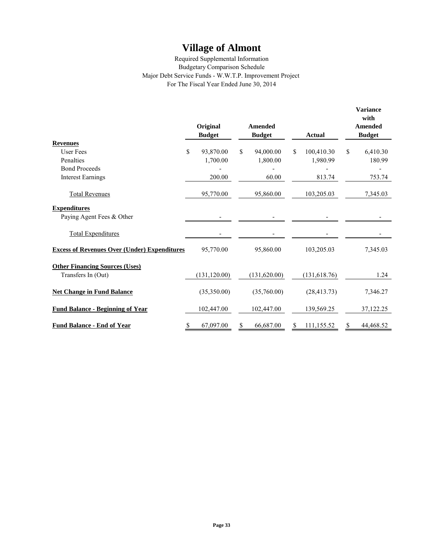### Budgetary Comparison Schedule Major Debt Service Funds - W.W.T.P. Improvement Project For The Fiscal Year Ended June 30, 2014 Required Supplemental Information

|                                                     | Original<br><b>Budget</b> | <b>Amended</b><br><b>Budget</b> | <b>Actual</b>     | <b>Variance</b><br>with<br><b>Amended</b><br><b>Budget</b> |
|-----------------------------------------------------|---------------------------|---------------------------------|-------------------|------------------------------------------------------------|
| <b>Revenues</b>                                     |                           |                                 |                   |                                                            |
| <b>User Fees</b>                                    | \$<br>93,870.00           | $\mathbf S$<br>94,000.00        | \$.<br>100,410.30 | \$<br>6,410.30                                             |
| Penalties                                           | 1,700.00                  | 1,800.00                        | 1,980.99          | 180.99                                                     |
| <b>Bond Proceeds</b>                                |                           |                                 |                   |                                                            |
| <b>Interest Earnings</b>                            | 200.00                    | 60.00                           | 813.74            | 753.74                                                     |
| <b>Total Revenues</b>                               | 95,770.00                 | 95,860.00                       | 103,205.03        | 7,345.03                                                   |
| <b>Expenditures</b>                                 |                           |                                 |                   |                                                            |
| Paying Agent Fees & Other                           |                           |                                 |                   |                                                            |
| <b>Total Expenditures</b>                           |                           |                                 |                   |                                                            |
| <b>Excess of Revenues Over (Under) Expenditures</b> | 95,770.00                 | 95,860.00                       | 103,205.03        | 7,345.03                                                   |
| <b>Other Financing Sources (Uses)</b>               |                           |                                 |                   |                                                            |
| Transfers In (Out)                                  | (131, 120.00)             | (131,620.00)                    | (131, 618.76)     | 1.24                                                       |
| <b>Net Change in Fund Balance</b>                   | (35,350.00)               | (35,760.00)                     | (28, 413.73)      | 7,346.27                                                   |
| <b>Fund Balance - Beginning of Year</b>             | 102,447.00                | 102,447.00                      | 139,569.25        | 37,122.25                                                  |
| <b>Fund Balance - End of Year</b>                   | 67,097.00                 | 66,687.00<br>S                  | 111,155.52<br>S   | 44,468.52<br>S                                             |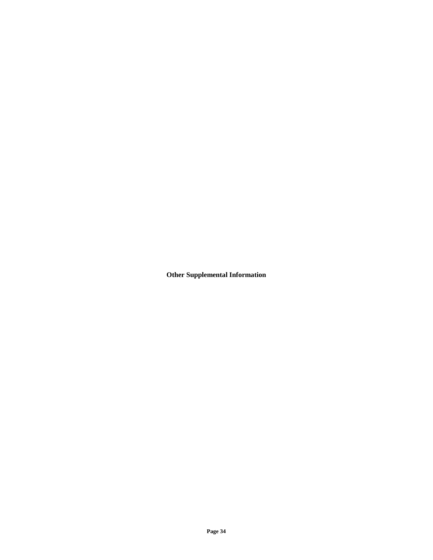**Other Supplemental Information**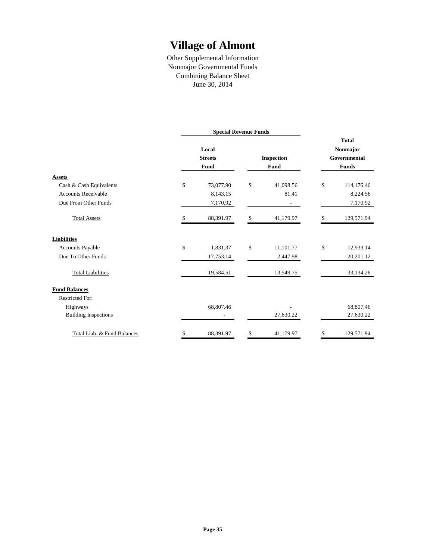### Other Supplemental Information Combining Balance Sheet Nonmajor Governmental Funds June 30, 2014

|                             | <b>Special Revenue Funds</b>    |                           |                                                          |
|-----------------------------|---------------------------------|---------------------------|----------------------------------------------------------|
|                             | Local<br><b>Streets</b><br>Fund | <b>Inspection</b><br>Fund | <b>Total</b><br>Nonmajor<br>Governmental<br><b>Funds</b> |
| <b>Assets</b>               |                                 |                           |                                                          |
| Cash & Cash Equivalents     | \$<br>73,077.90                 | \$<br>41,098.56           | \$<br>114,176.46                                         |
| <b>Accounts Receivable</b>  | 8,143.15                        | 81.41                     | 8,224.56                                                 |
| Due From Other Funds        | 7,170.92                        | $\overline{\phantom{0}}$  | 7,170.92                                                 |
| <b>Total Assets</b>         | 88,391.97                       | 41,179.97                 | 129,571.94                                               |
| <b>Liabilities</b>          |                                 |                           |                                                          |
| <b>Accounts Payable</b>     | \$<br>1,831.37                  | \$<br>11,101.77           | \$<br>12,933.14                                          |
| Due To Other Funds          | 17,753.14                       | 2,447.98                  | 20,201.12                                                |
| <b>Total Liabilities</b>    | 19,584.51                       | 13,549.75                 | 33,134.26                                                |
| <b>Fund Balances</b>        |                                 |                           |                                                          |
| <b>Restricted For:</b>      |                                 |                           |                                                          |
| Highways                    | 68,807.46                       |                           | 68,807.46                                                |
| <b>Building Inspections</b> |                                 | 27,630.22                 | 27,630.22                                                |
| Total Liab. & Fund Balances | 88,391.97                       | 41,179.97                 | 129,571.94                                               |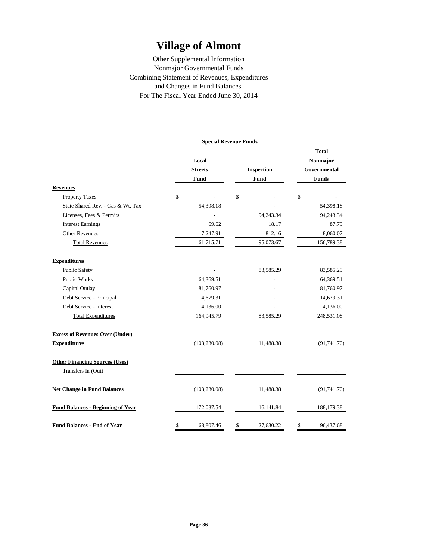Other Supplemental Information Combining Statement of Revenues, Expenditures and Changes in Fund Balances Nonmajor Governmental Funds For The Fiscal Year Ended June 30, 2014

|                                                            | <b>Special Revenue Funds</b>    |                           |                                                          |
|------------------------------------------------------------|---------------------------------|---------------------------|----------------------------------------------------------|
|                                                            | Local<br><b>Streets</b><br>Fund | <b>Inspection</b><br>Fund | <b>Total</b><br>Nonmajor<br>Governmental<br><b>Funds</b> |
| <b>Revenues</b>                                            |                                 |                           |                                                          |
| <b>Property Taxes</b><br>State Shared Rev. - Gas & Wt. Tax | \$                              | \$                        | \$                                                       |
| Licenses, Fees & Permits                                   | 54,398.18                       |                           | 54,398.18                                                |
|                                                            | 69.62                           | 94,243.34<br>18.17        | 94,243.34<br>87.79                                       |
| <b>Interest Earnings</b><br><b>Other Revenues</b>          |                                 |                           |                                                          |
| <b>Total Revenues</b>                                      | 7,247.91<br>61,715.71           | 812.16<br>95,073.67       | 8,060.07<br>156,789.38                                   |
|                                                            |                                 |                           |                                                          |
| <b>Expenditures</b>                                        |                                 |                           |                                                          |
| <b>Public Safety</b>                                       |                                 | 83,585.29                 | 83,585.29                                                |
| <b>Public Works</b>                                        | 64,369.51                       |                           | 64,369.51                                                |
| Capital Outlay                                             | 81,760.97                       |                           | 81,760.97                                                |
| Debt Service - Principal                                   | 14,679.31                       |                           | 14,679.31                                                |
| Debt Service - Interest                                    | 4,136.00                        |                           | 4,136.00                                                 |
| <b>Total Expenditures</b>                                  | 164,945.79                      | 83,585.29                 | 248,531.08                                               |
| <b>Excess of Revenues Over (Under)</b>                     |                                 |                           |                                                          |
| <b>Expenditures</b>                                        | (103, 230.08)                   | 11,488.38                 | (91, 741.70)                                             |
| <b>Other Financing Sources (Uses)</b>                      |                                 |                           |                                                          |
| Transfers In (Out)                                         |                                 |                           |                                                          |
| <b>Net Change in Fund Balances</b>                         | (103, 230.08)                   | 11,488.38                 | (91, 741.70)                                             |
| <b>Fund Balances - Beginning of Year</b>                   | 172,037.54                      | 16,141.84                 | 188,179.38                                               |
| <b>Fund Balances - End of Year</b>                         | \$<br>68,807.46                 | \$<br>27,630.22           | 96,437.68<br>\$                                          |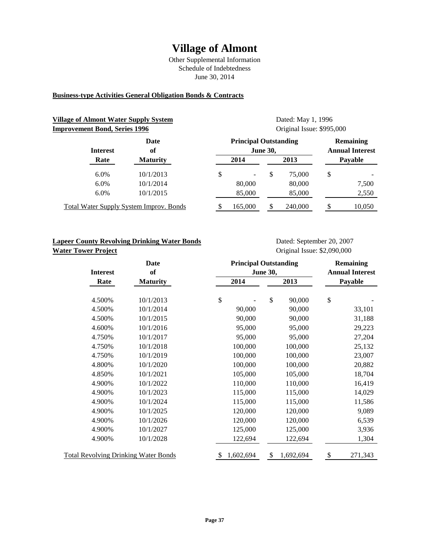Other Supplemental Information Schedule of Indebtedness June 30, 2014

#### **Business-type Activities General Obligation Bonds & Contracts**

### **Village of Almont Water Supply System** Dated: May 1, 1996 **Improvement Bond, Series 1996** Original Issue: \$995,000

| Date<br>of<br><b>Interest</b>                  |                 |      | <b>Principal Outstanding</b><br><b>June 30,</b> |      |         |                | <b>Remaining</b><br><b>Annual Interest</b> |  |  |
|------------------------------------------------|-----------------|------|-------------------------------------------------|------|---------|----------------|--------------------------------------------|--|--|
| Rate                                           | <b>Maturity</b> | 2014 |                                                 | 2013 |         | <b>Pavable</b> |                                            |  |  |
| $6.0\%$                                        | 10/1/2013       | \$   | $\overline{\phantom{a}}$                        | \$   | 75,000  | \$             |                                            |  |  |
| $6.0\%$                                        | 10/1/2014       |      | 80,000                                          |      | 80,000  |                | 7,500                                      |  |  |
| $6.0\%$                                        | 10/1/2015       |      | 85,000                                          |      | 85,000  |                | 2,550                                      |  |  |
| <b>Total Water Supply System Improv. Bonds</b> |                 |      | 165,000                                         |      | 240,000 | \$             | 10,050                                     |  |  |

### **Lapeer County Revolving Drinking Water Bonds** Dated: September 20, 2007 **Water Tower Project** Original Issue: \$2,090,000

| <b>Interest</b>                             | Date<br>of      | <b>Principal Outstanding</b><br><b>June 30,</b> | <b>Remaining</b><br><b>Annual Interest</b> |               |  |
|---------------------------------------------|-----------------|-------------------------------------------------|--------------------------------------------|---------------|--|
| Rate                                        | <b>Maturity</b> | 2014                                            | 2013                                       | Payable       |  |
| 4.500%                                      | 10/1/2013       | \$                                              | \$<br>90,000                               | \$            |  |
| 4.500%                                      | 10/1/2014       | 90,000                                          | 90,000                                     | 33,101        |  |
| 4.500%                                      | 10/1/2015       | 90,000                                          | 90,000                                     | 31,188        |  |
| 4.600%                                      | 10/1/2016       | 95,000                                          | 95,000                                     | 29,223        |  |
| 4.750%                                      | 10/1/2017       | 95,000                                          | 95,000                                     | 27,204        |  |
| 4.750%                                      | 10/1/2018       | 100,000                                         | 100,000                                    | 25,132        |  |
| 4.750%                                      | 10/1/2019       | 100,000                                         | 100,000                                    | 23,007        |  |
| 4.800%                                      | 10/1/2020       | 100,000                                         | 100,000                                    | 20,882        |  |
| 4.850%                                      | 10/1/2021       | 105,000                                         | 105,000                                    | 18,704        |  |
| 4.900%                                      | 10/1/2022       | 110,000                                         | 110,000                                    | 16,419        |  |
| 4.900%                                      | 10/1/2023       | 115,000                                         | 115,000                                    | 14,029        |  |
| 4.900%                                      | 10/1/2024       | 115,000                                         | 115,000                                    | 11,586        |  |
| 4.900%                                      | 10/1/2025       | 120,000                                         | 120,000                                    | 9,089         |  |
| 4.900%                                      | 10/1/2026       | 120,000                                         | 120,000                                    | 6,539         |  |
| 4.900%                                      | 10/1/2027       | 125,000                                         | 125,000                                    | 3,936         |  |
| 4.900%                                      | 10/1/2028       | 122,694                                         | 122,694                                    | 1,304         |  |
| <b>Total Revolving Drinking Water Bonds</b> |                 | 1,602,694<br>\$                                 | 1,692,694<br>\$                            | \$<br>271,343 |  |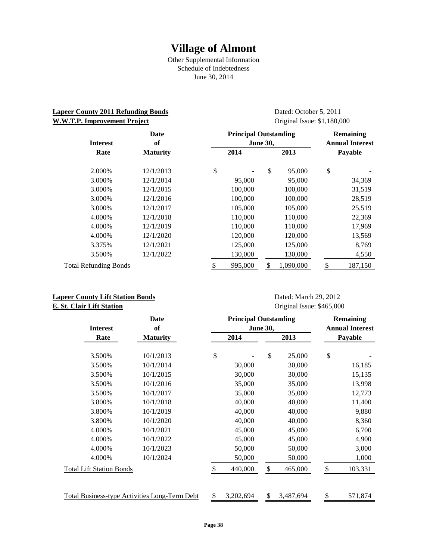Other Supplemental Information Schedule of Indebtedness June 30, 2014

### **Lapeer County 2011 Refunding Bonds** Dated: October 5, 2011 W.W.T.P. Improvement Project **Conservation** Original Issue: \$1,180,000

| Date<br>of<br><b>Interest</b> |                 |      | <b>Principal Outstanding</b><br><b>June 30,</b> |      |           |         | <b>Remaining</b><br><b>Annual Interest</b> |  |
|-------------------------------|-----------------|------|-------------------------------------------------|------|-----------|---------|--------------------------------------------|--|
| Rate                          | <b>Maturity</b> | 2014 |                                                 | 2013 |           | Payable |                                            |  |
| 2.000%                        | 12/1/2013       | \$   |                                                 | \$   | 95,000    | \$      |                                            |  |
| 3.000%                        | 12/1/2014       |      | 95,000                                          |      | 95,000    |         | 34,369                                     |  |
| 3.000%                        | 12/1/2015       |      | 100,000                                         |      | 100,000   |         | 31,519                                     |  |
| 3.000%                        | 12/1/2016       |      | 100,000                                         |      | 100,000   |         | 28,519                                     |  |
| 3.000%                        | 12/1/2017       |      | 105,000                                         |      | 105,000   |         | 25,519                                     |  |
| 4.000%                        | 12/1/2018       |      | 110,000                                         |      | 110,000   |         | 22,369                                     |  |
| 4.000%                        | 12/1/2019       |      | 110,000                                         |      | 110,000   |         | 17,969                                     |  |
| 4.000%                        | 12/1/2020       |      | 120,000                                         |      | 120,000   |         | 13,569                                     |  |
| 3.375%                        | 12/1/2021       |      | 125,000                                         |      | 125,000   |         | 8,769                                      |  |
| 3.500%                        | 12/1/2022       |      | 130,000                                         |      | 130,000   |         | 4,550                                      |  |
| <b>Total Refunding Bonds</b>  |                 |      | 995,000                                         |      | 1,090,000 |         | 187,150                                    |  |

### **Lapeer County Lift Station Bonds** Dated: March 29, 2012 **E. St. Clair Lift Station** Original Issue: \$465,000

| <b>Interest</b>                                      | Date<br>of                          | <b>Principal Outstanding</b><br><b>June 30,</b> |    |                            | <b>Remaining</b><br><b>Annual Interest</b> |                          |
|------------------------------------------------------|-------------------------------------|-------------------------------------------------|----|----------------------------|--------------------------------------------|--------------------------|
| Rate                                                 | <b>Maturity</b>                     | 2014                                            |    | 2013                       |                                            | Payable                  |
| 3.500%<br>3.500%<br>3.500%                           | 10/1/2013<br>10/1/2014<br>10/1/2015 | \$<br>30,000<br>30,000                          | \$ | 25,000<br>30,000<br>30,000 | \$                                         | 16,185<br>15,135         |
| 3.500%<br>3.500%                                     | 10/1/2016<br>10/1/2017              | 35,000<br>35,000                                |    | 35,000<br>35,000           |                                            | 13,998<br>12,773         |
| 3.800%<br>3.800%<br>3.800%                           | 10/1/2018<br>10/1/2019<br>10/1/2020 | 40,000<br>40,000<br>40,000                      |    | 40,000<br>40,000<br>40,000 |                                            | 11,400<br>9,880<br>8,360 |
| 4.000%<br>4.000%                                     | 10/1/2021<br>10/1/2022              | 45,000<br>45,000                                |    | 45,000<br>45,000           |                                            | 6,700<br>4,900           |
| 4.000%<br>4.000%                                     | 10/1/2023<br>10/1/2024              | 50,000<br>50,000                                |    | 50,000<br>50,000           |                                            | 3,000<br>1,000           |
| <b>Total Lift Station Bonds</b>                      |                                     | \$<br>440,000                                   | \$ | 465,000                    | \$                                         | 103,331                  |
| <b>Total Business-type Activities Long-Term Debt</b> |                                     | \$<br>3,202,694                                 |    | 3,487,694                  | \$                                         | 571,874                  |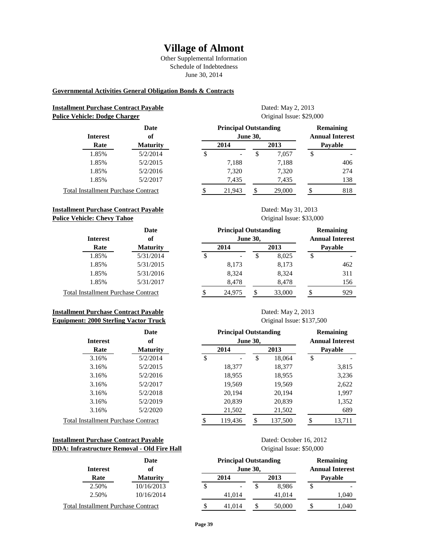Other Supplemental Information Schedule of Indebtedness June 30, 2014

#### **Governmental Activities General Obligation Bonds & Contracts**

| <b>Installment Purchase Contract Pavable</b> | Dated: May 2, 2013       |
|----------------------------------------------|--------------------------|
| <b>Police Vehicle: Dodge Charger</b>         | Original Issue: \$29,000 |

| <b>Interest</b> | Date<br>of                          |
|-----------------|-------------------------------------|
| Rate            | <b>Maturity</b>                     |
| 1.85%           | 5/2/2014                            |
| 1.85%           | 5/2/2015                            |
| 1.85%           | 5/2/2016                            |
| 1.85%           | 5/2/2017                            |
|                 | Total Installment Purchase Contract |

#### **Installment Purchase Contract Payable** Dated: May 31, 2013 **Police Vehicle: Chevy Tahoe** Original Issue: \$33,000

|                 | Date            |
|-----------------|-----------------|
| <b>Interest</b> | of              |
| Rate            | <b>Maturity</b> |
| 1.85%           | 5/31/2014       |
| 1.85%           | 5/31/2015       |
| 1.85%           | 5/31/2016       |
| 1.85%           | 5/31/2017       |
|                 |                 |

#### Total Installment Purchase Contract

#### **Installment Purchase Contract Payable** Dated: May 2, 2013 **Equipment: 2000 Sterling Vactor Truck** Original Issue: \$137,500

|                                            | Date            |
|--------------------------------------------|-----------------|
| <b>Interest</b>                            | of              |
| Rate                                       | <b>Maturity</b> |
| 3.16%                                      | 5/2/2014        |
| 3.16%                                      | 5/2/2015        |
| 3.16%                                      | 5/2/2016        |
| 3.16%                                      | 5/2/2017        |
| 3.16%                                      | 5/2/2018        |
| 3.16%                                      | 5/2/2019        |
| 3.16%                                      | 5/2/2020        |
| <b>Total Installment Purchase Contract</b> |                 |

#### **Installment Purchase Contract Payable** Dated: October 16, 2012 **DDA: Infrastructure Removal - Old Fire Hall** Original Issue: \$50,000

|                                     | Date            |
|-------------------------------------|-----------------|
| <b>Interest</b>                     | of              |
| Rate                                | <b>Maturity</b> |
| 2.50%                               | 10/16/2013      |
| 2.50%                               | 10/16/2014      |
| Total Installment Purchase Contract |                 |

| Dated: May 2, 2013      |
|-------------------------|
| Original Issue: \$29,00 |

| Date<br>of<br><b>Interest</b> |                                            | <b>Principal Outstanding</b><br><b>June 30,</b> |      |        |         | Remaining<br><b>Annual Interest</b> |  |  |
|-------------------------------|--------------------------------------------|-------------------------------------------------|------|--------|---------|-------------------------------------|--|--|
| Rate                          | <b>Maturity</b>                            | 2014                                            | 2013 |        | Pavable |                                     |  |  |
| 1.85%                         | 5/2/2014                                   | \$<br>$\overline{\phantom{0}}$                  | \$   | 7.057  |         |                                     |  |  |
| 1.85%                         | 5/2/2015                                   | 7,188                                           |      | 7,188  |         | 406                                 |  |  |
| 1.85%                         | 5/2/2016                                   | 7,320                                           |      | 7,320  |         | 274                                 |  |  |
| 1.85%                         | 5/2/2017                                   | 7,435                                           |      | 7.435  |         | 138                                 |  |  |
|                               | <b>Total Installment Purchase Contract</b> | 21.943                                          |      | 29,000 |         | 818                                 |  |  |

| nterest | Date<br>оf                | <b>Principal Outstanding</b><br><b>June 30,</b> |                          |      |        | <b>Remaining</b><br><b>Annual Interest</b> |     |  |
|---------|---------------------------|-------------------------------------------------|--------------------------|------|--------|--------------------------------------------|-----|--|
| Rate    | <b>Maturity</b>           | 2014                                            |                          | 2013 |        | Payable                                    |     |  |
| 1.85%   | 5/31/2014                 | \$                                              | $\overline{\phantom{a}}$ | S    | 8.025  | S                                          |     |  |
| 1.85%   | 5/31/2015                 |                                                 | 8,173                    |      | 8,173  |                                            | 462 |  |
| 1.85%   | 5/31/2016                 |                                                 | 8,324                    |      | 8,324  |                                            | 311 |  |
| 1.85%   | 5/31/2017                 |                                                 | 8,478                    |      | 8,478  |                                            | 156 |  |
|         | allment Purchase Contract | S                                               | 24,975                   | S    | 33,000 |                                            | 929 |  |
|         |                           |                                                 |                          |      |        |                                            |     |  |

|         | Date                      | <b>Principal Outstanding</b>   | Remaining     |                        |         |  |
|---------|---------------------------|--------------------------------|---------------|------------------------|---------|--|
| nterest | оf                        | <b>June 30,</b>                |               | <b>Annual Interest</b> |         |  |
| Rate    | <b>Maturity</b>           | 2014                           | 2013          |                        | Pavable |  |
| 3.16%   | 5/2/2014                  | \$<br>$\overline{\phantom{a}}$ | \$<br>18,064  | \$                     |         |  |
| 3.16%   | 5/2/2015                  | 18,377                         | 18,377        |                        | 3,815   |  |
| 3.16%   | 5/2/2016                  | 18,955                         | 18,955        |                        | 3,236   |  |
| 3.16%   | 5/2/2017                  | 19,569                         | 19,569        |                        | 2,622   |  |
| 3.16%   | 5/2/2018                  | 20,194                         | 20,194        |                        | 1,997   |  |
| 3.16%   | 5/2/2019                  | 20,839                         | 20,839        |                        | 1,352   |  |
| 3.16%   | 5/2/2020                  | 21,502                         | 21,502        |                        | 689     |  |
|         | allment Purchase Contract | \$<br>119,436                  | \$<br>137,500 | \$                     | 13,711  |  |

| <b>Interest</b>                            | Date<br>of      | <b>Principal Outstanding</b><br><b>June 30,</b> |                          |   |        | <b>Remaining</b><br><b>Annual Interest</b> |                |  |
|--------------------------------------------|-----------------|-------------------------------------------------|--------------------------|---|--------|--------------------------------------------|----------------|--|
| Rate                                       | <b>Maturity</b> |                                                 | 2014                     |   | 2013   |                                            | <b>Pavable</b> |  |
| 2.50%                                      | 10/16/2013      | S                                               | $\overline{\phantom{a}}$ |   | 8.986  |                                            |                |  |
| 2.50%                                      | 10/16/2014      |                                                 | 41,014                   |   | 41.014 |                                            | 1,040          |  |
| <b>Total Installment Purchase Contract</b> |                 | \$                                              | 41,014                   | S | 50,000 |                                            | 1.040          |  |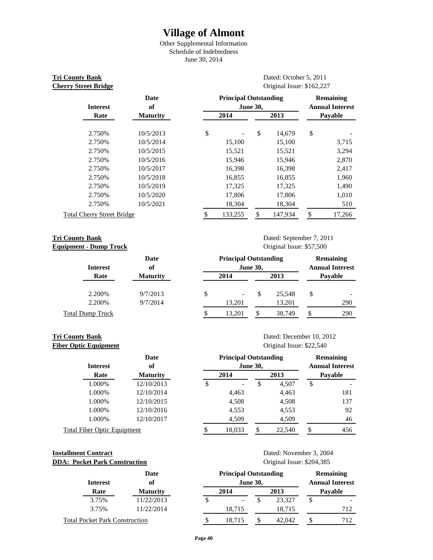Schedule of Indebtedness Other Supplemental Information June 30, 2014

#### **Tri County Bank** Dated: October 5, 2011<br> **Cherry Street Bridge** Original Issue: \$162,22 Original Issue: \$162,227

| <b>Interest</b>                   |                         | <b>Principal Outstanding</b><br><b>June 30,</b> | <b>Remaining</b><br><b>Annual Interest</b> |               |    |        |
|-----------------------------------|-------------------------|-------------------------------------------------|--------------------------------------------|---------------|----|--------|
| Rate                              | 2014<br><b>Maturity</b> |                                                 | 2013                                       | Payable       |    |        |
| 2.750%                            | 10/5/2013               | \$                                              |                                            | \$<br>14.679  | \$ |        |
| 2.750%                            | 10/5/2014               |                                                 | 15,100                                     | 15.100        |    | 3,715  |
| 2.750%                            | 10/5/2015               |                                                 | 15.521                                     | 15,521        |    | 3,294  |
| 2.750%                            | 10/5/2016               |                                                 | 15,946                                     | 15,946        |    | 2,870  |
| 2.750%                            | 10/5/2017               |                                                 | 16,398                                     | 16,398        |    | 2,417  |
| 2.750%                            | 10/5/2018               |                                                 | 16,855                                     | 16,855        |    | 1,960  |
| 2.750%                            | 10/5/2019               |                                                 | 17,325                                     | 17,325        |    | 1,490  |
| 2.750%                            | 10/5/2020               |                                                 | 17,806                                     | 17.806        |    | 1,010  |
| 2.750%                            | 10/5/2021               |                                                 | 18,304                                     | 18,304        |    | 510    |
| <b>Total Cherry Street Bridge</b> |                         | S                                               | 133,255                                    | \$<br>147,934 | \$ | 17,266 |

#### **Tri County Bank** Dated: September 7, 2011 **Equipment - Dump Truck** Original Issue: \$57,500

| <b>Interest</b>         | Date<br>of      | <b>Principal Outstanding</b><br><b>June 30,</b> | <b>Remaining</b><br><b>Annual Interest</b> |        |    |         |
|-------------------------|-----------------|-------------------------------------------------|--------------------------------------------|--------|----|---------|
| Rate                    | <b>Maturity</b> | 2014                                            |                                            | 2013   |    | Pavable |
| 2.200%                  | 9/7/2013        | \$<br>$\overline{\phantom{a}}$                  | <sup>\$</sup>                              | 25.548 | \$ |         |
| 2.200%                  | 9/7/2014        | 13,201                                          |                                            | 13,201 |    | 290     |
| <b>Total Dump Truck</b> |                 | 13.201                                          | S                                          | 38,749 |    | 290     |

# **Fiber Optic Equipment** Original Issue: \$22,540

|                 | Date            |
|-----------------|-----------------|
| <b>Interest</b> | of              |
| Rate            | <b>Maturity</b> |
| 1.000%          | 12/10/2013      |
| 1.000%          | 12/10/2014      |
| 1.000%          | 12/10/2015      |
| 1.000%          | 12/10/2016      |
| 1.000%          | 12/10/2017      |
|                 |                 |

Total Fiber Optic Equipment

#### **Installment Contract** Dated: November 3, 2004 **DDA: Pocket Park Construction** Original Issue: \$204,385

|                                       | Date            |
|---------------------------------------|-----------------|
| <b>Interest</b>                       | of              |
| Rate                                  | <b>Maturity</b> |
| 3.75%                                 | 11/22/2013      |
| 3.75%                                 | 11/22/2014      |
| <b>Total Pocket Park Construction</b> |                 |

# **Tri County Bank** Dated: December 10, 2012

| Interest           | Date<br>of      |      | <b>Principal Outstanding</b><br><b>June 30,</b> | Remaining<br><b>Annual Interest</b> |         |     |
|--------------------|-----------------|------|-------------------------------------------------|-------------------------------------|---------|-----|
| Rate               | <b>Maturity</b> | 2014 |                                                 | 2013                                | Payable |     |
| 1.000%             | 12/10/2013      | S    |                                                 | \$<br>4,507                         | \$      |     |
| 1.000%             | 12/10/2014      |      | 4,463                                           | 4,463                               |         | 181 |
| 1.000%             | 12/10/2015      |      | 4,508                                           | 4,508                               |         | 137 |
| 1.000%             | 12/10/2016      |      | 4,553                                           | 4,553                               |         | 92  |
| 1.000%             | 12/10/2017      |      | 4,509                                           | 4,509                               |         | 46  |
| er Optic Equipment |                 |      | 18,033                                          | 22,540                              | \$      | 456 |

| nterest               | Date<br>of      |   | <b>Principal Outstanding</b><br><b>June 30,</b> | <b>Remaining</b><br><b>Annual Interest</b> |        |                |     |  |
|-----------------------|-----------------|---|-------------------------------------------------|--------------------------------------------|--------|----------------|-----|--|
| Rate                  | <b>Maturity</b> |   | 2014<br>2013                                    |                                            |        | <b>Pavable</b> |     |  |
| 3.75%                 | 11/22/2013      | S | -                                               |                                            | 23.327 | \$             |     |  |
| 3.75%                 | 11/22/2014      |   | 18.715                                          |                                            | 18.715 |                | 712 |  |
| ket Park Construction |                 | S | 18.715                                          |                                            | 42,042 | S              | 712 |  |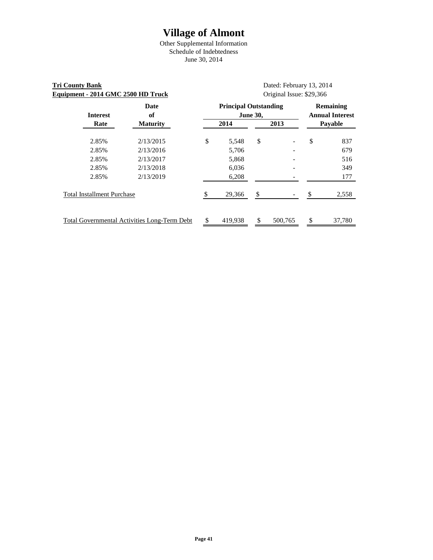Other Supplemental Information Schedule of Indebtedness June 30, 2014

| <b>Tri County Bank</b>        | Equipment - 2014 GMC 2500 HD Truck | Dated: February 13, 2014<br>Original Issue: \$29,366 |    |                                                 |    |                                            |         |        |
|-------------------------------|------------------------------------|------------------------------------------------------|----|-------------------------------------------------|----|--------------------------------------------|---------|--------|
| Date<br>of<br><b>Interest</b> |                                    |                                                      |    | <b>Principal Outstanding</b><br><b>June 30,</b> |    | <b>Remaining</b><br><b>Annual Interest</b> |         |        |
|                               | Rate                               | <b>Maturity</b>                                      |    | 2014                                            |    | 2013                                       | Pavable |        |
|                               | 2.85%                              | 2/13/2015                                            | \$ | 5,548                                           | \$ |                                            | \$      | 837    |
|                               | 2.85%                              | 2/13/2016                                            |    | 5,706                                           |    |                                            |         | 679    |
|                               | 2.85%                              | 2/13/2017                                            |    | 5,868                                           |    |                                            |         | 516    |
|                               | 2.85%                              | 2/13/2018                                            |    | 6,036                                           |    |                                            |         | 349    |
|                               | 2.85%                              | 2/13/2019                                            |    | 6,208                                           |    |                                            |         | 177    |
|                               | <b>Total Installment Purchase</b>  |                                                      | \$ | 29,366                                          | \$ |                                            | S       | 2,558  |
|                               |                                    | <b>Total Governmental Activities Long-Term Debt</b>  | \$ | 419,938                                         | \$ | 500,765                                    | \$      | 37,780 |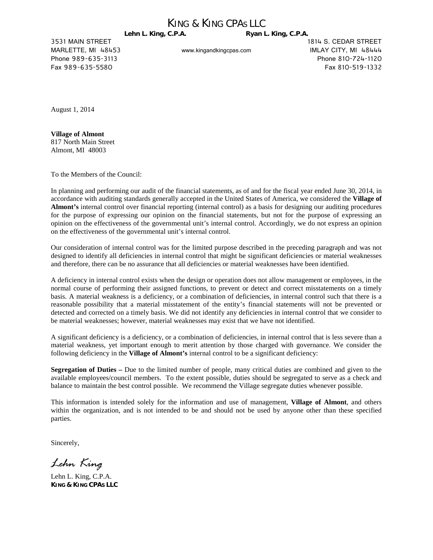Lehn L. King, C.P.A. Ryan L. King, C.P.A.

Fax 989-635-5580

3531 MAIN STREET 1814 S. CEDAR STREET www.kingandkingcpas.com IMLAY CITY, MI 48444<br>Phone 810-724-1120 Phone 989-635-3113<br>
Fax 989-635-5580<br>
Fax 810-519-1332

August 1, 2014

**Village of Almont** 817 North Main Street Almont, MI 48003

To the Members of the Council:

In planning and performing our audit of the financial statements, as of and for the fiscal year ended June 30, 2014, in accordance with auditing standards generally accepted in the United States of America, we considered the **Village of Almont's** internal control over financial reporting (internal control) as a basis for designing our auditing procedures for the purpose of expressing our opinion on the financial statements, but not for the purpose of expressing an opinion on the effectiveness of the governmental unit's internal control. Accordingly, we do not express an opinion on the effectiveness of the governmental unit's internal control.

Our consideration of internal control was for the limited purpose described in the preceding paragraph and was not designed to identify all deficiencies in internal control that might be significant deficiencies or material weaknesses and therefore, there can be no assurance that all deficiencies or material weaknesses have been identified.

A deficiency in internal control exists when the design or operation does not allow management or employees, in the normal course of performing their assigned functions, to prevent or detect and correct misstatements on a timely basis. A material weakness is a deficiency, or a combination of deficiencies, in internal control such that there is a reasonable possibility that a material misstatement of the entity's financial statements will not be prevented or detected and corrected on a timely basis. We did not identify any deficiencies in internal control that we consider to be material weaknesses; however, material weaknesses may exist that we have not identified.

A significant deficiency is a deficiency, or a combination of deficiencies, in internal control that is less severe than a material weakness, yet important enough to merit attention by those charged with governance. We consider the following deficiency in the **Village of Almont's** internal control to be a significant deficiency:

**Segregation of Duties –** Due to the limited number of people, many critical duties are combined and given to the available employees/council members. To the extent possible, duties should be segregated to serve as a check and balance to maintain the best control possible. We recommend the Village segregate duties whenever possible.

This information is intended solely for the information and use of management, **Village of Almont**, and others within the organization, and is not intended to be and should not be used by anyone other than these specified parties.

Sincerely,

*Lehn King*

Lehn L. King, C.P.A. **KING & KING CPAS LLC**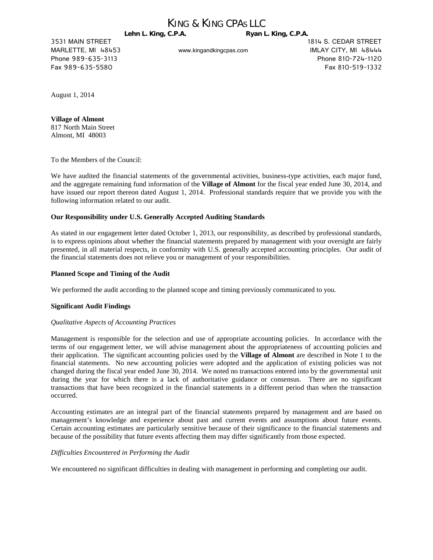Lehn L. King, C.P.A. Ryan L. King, C.P.A.

Fax 989-635-5580

3531 MAIN STREET 1814 S. CEDAR STREET www.kingandkingcpas.com IMLAY CITY, MI 48444<br>Phone 810-724-1120 Phone 989-635-3113<br>
Fax 989-635-5580<br>
Fax 810-519-1332

August 1, 2014

#### **Village of Almont**

817 North Main Street Almont, MI 48003

To the Members of the Council:

We have audited the financial statements of the governmental activities, business-type activities, each major fund, and the aggregate remaining fund information of the **Village of Almont** for the fiscal year ended June 30, 2014, and have issued our report thereon dated August 1, 2014. Professional standards require that we provide you with the following information related to our audit.

#### **Our Responsibility under U.S. Generally Accepted Auditing Standards**

As stated in our engagement letter dated October 1, 2013, our responsibility, as described by professional standards, is to express opinions about whether the financial statements prepared by management with your oversight are fairly presented, in all material respects, in conformity with U.S. generally accepted accounting principles. Our audit of the financial statements does not relieve you or management of your responsibilities.

#### **Planned Scope and Timing of the Audit**

We performed the audit according to the planned scope and timing previously communicated to you.

#### **Significant Audit Findings**

#### *Qualitative Aspects of Accounting Practices*

Management is responsible for the selection and use of appropriate accounting policies. In accordance with the terms of our engagement letter, we will advise management about the appropriateness of accounting policies and their application. The significant accounting policies used by the **Village of Almont** are described in Note 1 to the financial statements. No new accounting policies were adopted and the application of existing policies was not changed during the fiscal year ended June 30, 2014. We noted no transactions entered into by the governmental unit during the year for which there is a lack of authoritative guidance or consensus. There are no significant transactions that have been recognized in the financial statements in a different period than when the transaction occurred.

Accounting estimates are an integral part of the financial statements prepared by management and are based on management's knowledge and experience about past and current events and assumptions about future events. Certain accounting estimates are particularly sensitive because of their significance to the financial statements and because of the possibility that future events affecting them may differ significantly from those expected.

#### *Difficulties Encountered in Performing the Audit*

We encountered no significant difficulties in dealing with management in performing and completing our audit.